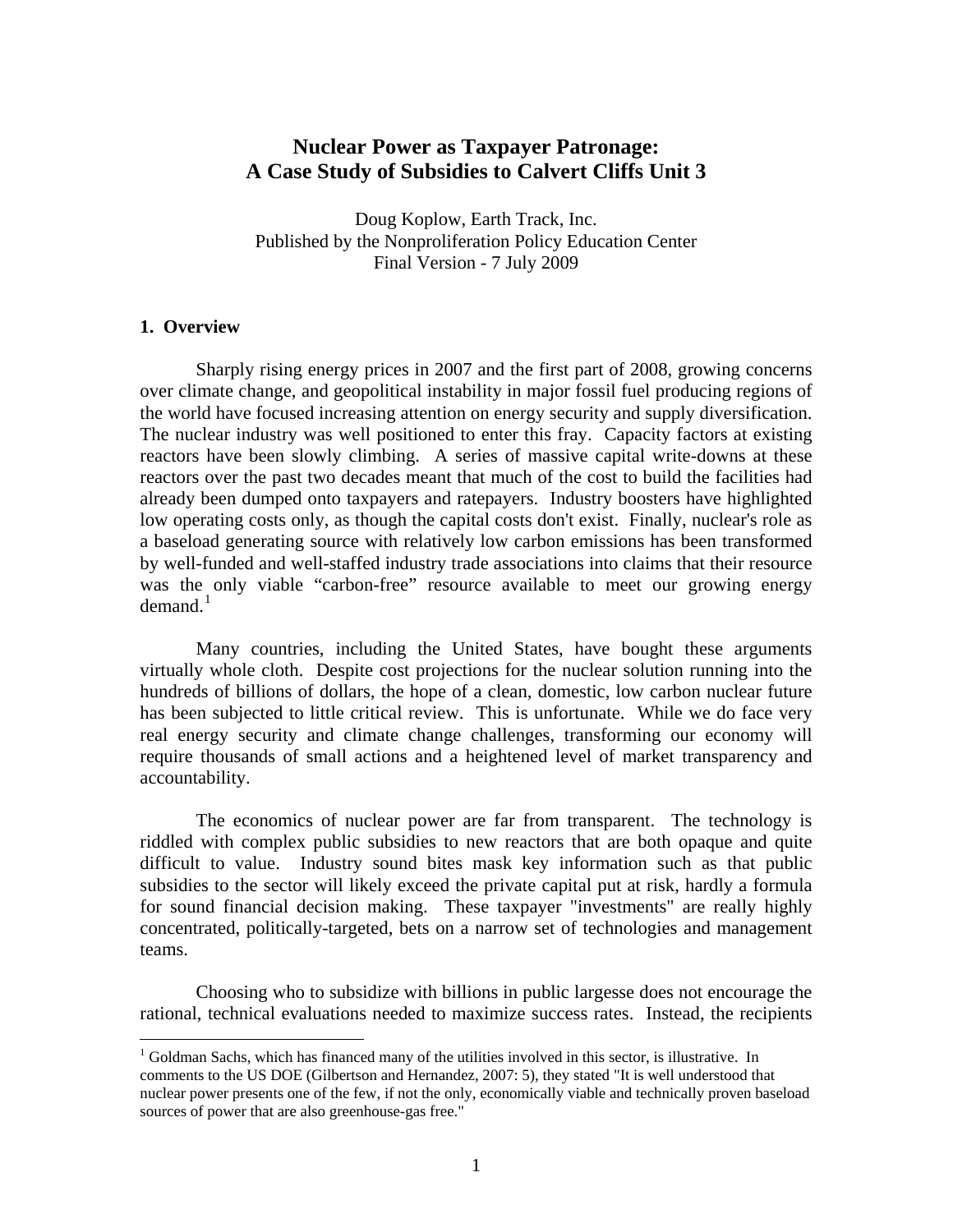## **Nuclear Power as Taxpayer Patronage: A Case Study of Subsidies to Calvert Cliffs Unit 3**

Doug Koplow, Earth Track, Inc. Published by the Nonproliferation Policy Education Center Final Version - 7 July 2009

### **1. Overview**

<u>.</u>

Sharply rising energy prices in 2007 and the first part of 2008, growing concerns over climate change, and geopolitical instability in major fossil fuel producing regions of the world have focused increasing attention on energy security and supply diversification. The nuclear industry was well positioned to enter this fray. Capacity factors at existing reactors have been slowly climbing. A series of massive capital write-downs at these reactors over the past two decades meant that much of the cost to build the facilities had already been dumped onto taxpayers and ratepayers. Industry boosters have highlighted low operating costs only, as though the capital costs don't exist. Finally, nuclear's role as a baseload generating source with relatively low carbon emissions has been transformed by well-funded and well-staffed industry trade associations into claims that their resource was the only viable "carbon-free" resource available to meet our growing energy demand. $1$ 

Many countries, including the United States, have bought these arguments virtually whole cloth. Despite cost projections for the nuclear solution running into the hundreds of billions of dollars, the hope of a clean, domestic, low carbon nuclear future has been subjected to little critical review. This is unfortunate. While we do face very real energy security and climate change challenges, transforming our economy will require thousands of small actions and a heightened level of market transparency and accountability.

The economics of nuclear power are far from transparent. The technology is riddled with complex public subsidies to new reactors that are both opaque and quite difficult to value. Industry sound bites mask key information such as that public subsidies to the sector will likely exceed the private capital put at risk, hardly a formula for sound financial decision making. These taxpayer "investments" are really highly concentrated, politically-targeted, bets on a narrow set of technologies and management teams.

Choosing who to subsidize with billions in public largesse does not encourage the rational, technical evaluations needed to maximize success rates. Instead, the recipients

<span id="page-0-0"></span><sup>&</sup>lt;sup>1</sup> Goldman Sachs, which has financed many of the utilities involved in this sector, is illustrative. In comments to the US DOE (Gilbertson and Hernandez, 2007: 5), they stated "It is well understood that nuclear power presents one of the few, if not the only, economically viable and technically proven baseload sources of power that are also greenhouse-gas free."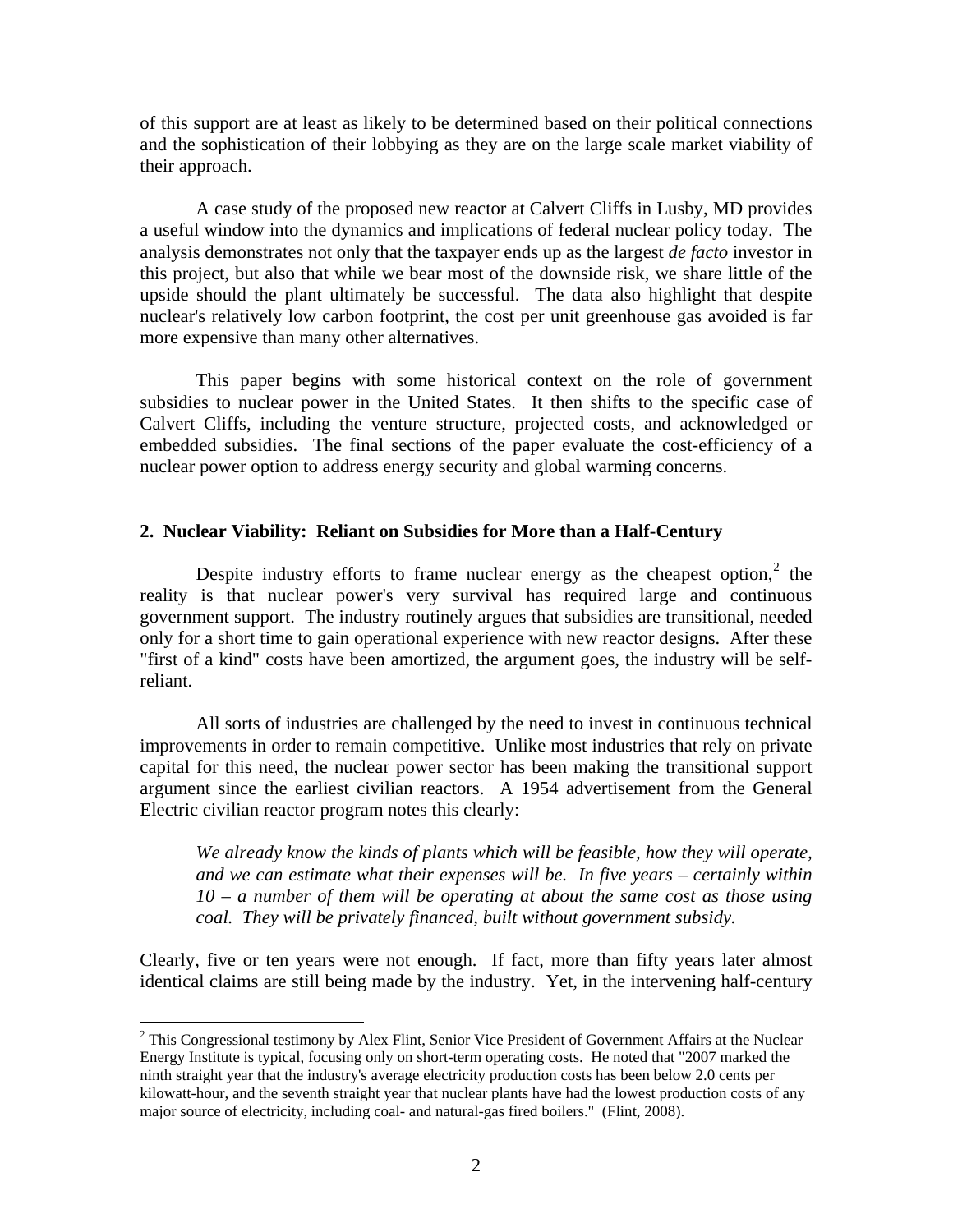of this support are at least as likely to be determined based on their political connections and the sophistication of their lobbying as they are on the large scale market viability of their approach.

A case study of the proposed new reactor at Calvert Cliffs in Lusby, MD provides a useful window into the dynamics and implications of federal nuclear policy today. The analysis demonstrates not only that the taxpayer ends up as the largest *de facto* investor in this project, but also that while we bear most of the downside risk, we share little of the upside should the plant ultimately be successful. The data also highlight that despite nuclear's relatively low carbon footprint, the cost per unit greenhouse gas avoided is far more expensive than many other alternatives.

This paper begins with some historical context on the role of government subsidies to nuclear power in the United States. It then shifts to the specific case of Calvert Cliffs, including the venture structure, projected costs, and acknowledged or embedded subsidies. The final sections of the paper evaluate the cost-efficiency of a nuclear power option to address energy security and global warming concerns.

#### **2. Nuclear Viability: Reliant on Subsidies for More than a Half-Century**

Despite industry efforts to frame nuclear energy as the cheapest option, $2$  the reality is that nuclear power's very survival has required large and continuous government support. The industry routinely argues that subsidies are transitional, needed only for a short time to gain operational experience with new reactor designs. After these "first of a kind" costs have been amortized, the argument goes, the industry will be selfreliant.

All sorts of industries are challenged by the need to invest in continuous technical improvements in order to remain competitive. Unlike most industries that rely on private capital for this need, the nuclear power sector has been making the transitional support argument since the earliest civilian reactors. A 1954 advertisement from the General Electric civilian reactor program notes this clearly:

*We already know the kinds of plants which will be feasible, how they will operate, and we can estimate what their expenses will be. In five years – certainly within 10 – a number of them will be operating at about the same cost as those using coal. They will be privately financed, built without government subsidy.*

Clearly, five or ten years were not enough. If fact, more than fifty years later almost identical claims are still being made by the industry. Yet, in the intervening half-century

1

<span id="page-1-0"></span> $2$  This Congressional testimony by Alex Flint, Senior Vice President of Government Affairs at the Nuclear Energy Institute is typical, focusing only on short-term operating costs. He noted that "2007 marked the ninth straight year that the industry's average electricity production costs has been below 2.0 cents per kilowatt-hour, and the seventh straight year that nuclear plants have had the lowest production costs of any major source of electricity, including coal- and natural-gas fired boilers." (Flint, 2008).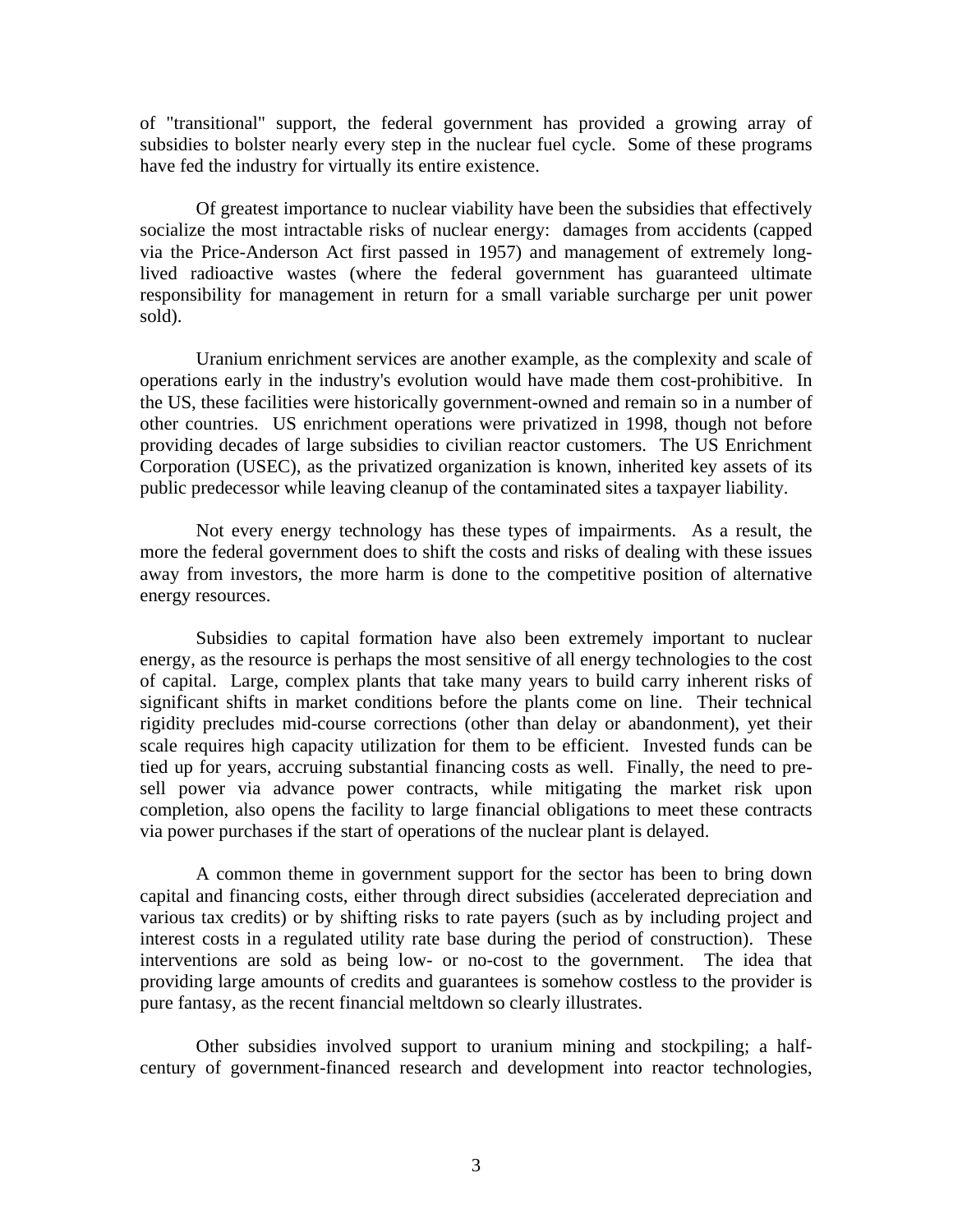of "transitional" support, the federal government has provided a growing array of subsidies to bolster nearly every step in the nuclear fuel cycle. Some of these programs have fed the industry for virtually its entire existence.

Of greatest importance to nuclear viability have been the subsidies that effectively socialize the most intractable risks of nuclear energy: damages from accidents (capped via the Price-Anderson Act first passed in 1957) and management of extremely longlived radioactive wastes (where the federal government has guaranteed ultimate responsibility for management in return for a small variable surcharge per unit power sold).

Uranium enrichment services are another example, as the complexity and scale of operations early in the industry's evolution would have made them cost-prohibitive. In the US, these facilities were historically government-owned and remain so in a number of other countries. US enrichment operations were privatized in 1998, though not before providing decades of large subsidies to civilian reactor customers. The US Enrichment Corporation (USEC), as the privatized organization is known, inherited key assets of its public predecessor while leaving cleanup of the contaminated sites a taxpayer liability.

Not every energy technology has these types of impairments. As a result, the more the federal government does to shift the costs and risks of dealing with these issues away from investors, the more harm is done to the competitive position of alternative energy resources.

Subsidies to capital formation have also been extremely important to nuclear energy, as the resource is perhaps the most sensitive of all energy technologies to the cost of capital. Large, complex plants that take many years to build carry inherent risks of significant shifts in market conditions before the plants come on line. Their technical rigidity precludes mid-course corrections (other than delay or abandonment), yet their scale requires high capacity utilization for them to be efficient. Invested funds can be tied up for years, accruing substantial financing costs as well. Finally, the need to presell power via advance power contracts, while mitigating the market risk upon completion, also opens the facility to large financial obligations to meet these contracts via power purchases if the start of operations of the nuclear plant is delayed.

A common theme in government support for the sector has been to bring down capital and financing costs, either through direct subsidies (accelerated depreciation and various tax credits) or by shifting risks to rate payers (such as by including project and interest costs in a regulated utility rate base during the period of construction). These interventions are sold as being low- or no-cost to the government. The idea that providing large amounts of credits and guarantees is somehow costless to the provider is pure fantasy, as the recent financial meltdown so clearly illustrates.

Other subsidies involved support to uranium mining and stockpiling; a halfcentury of government-financed research and development into reactor technologies,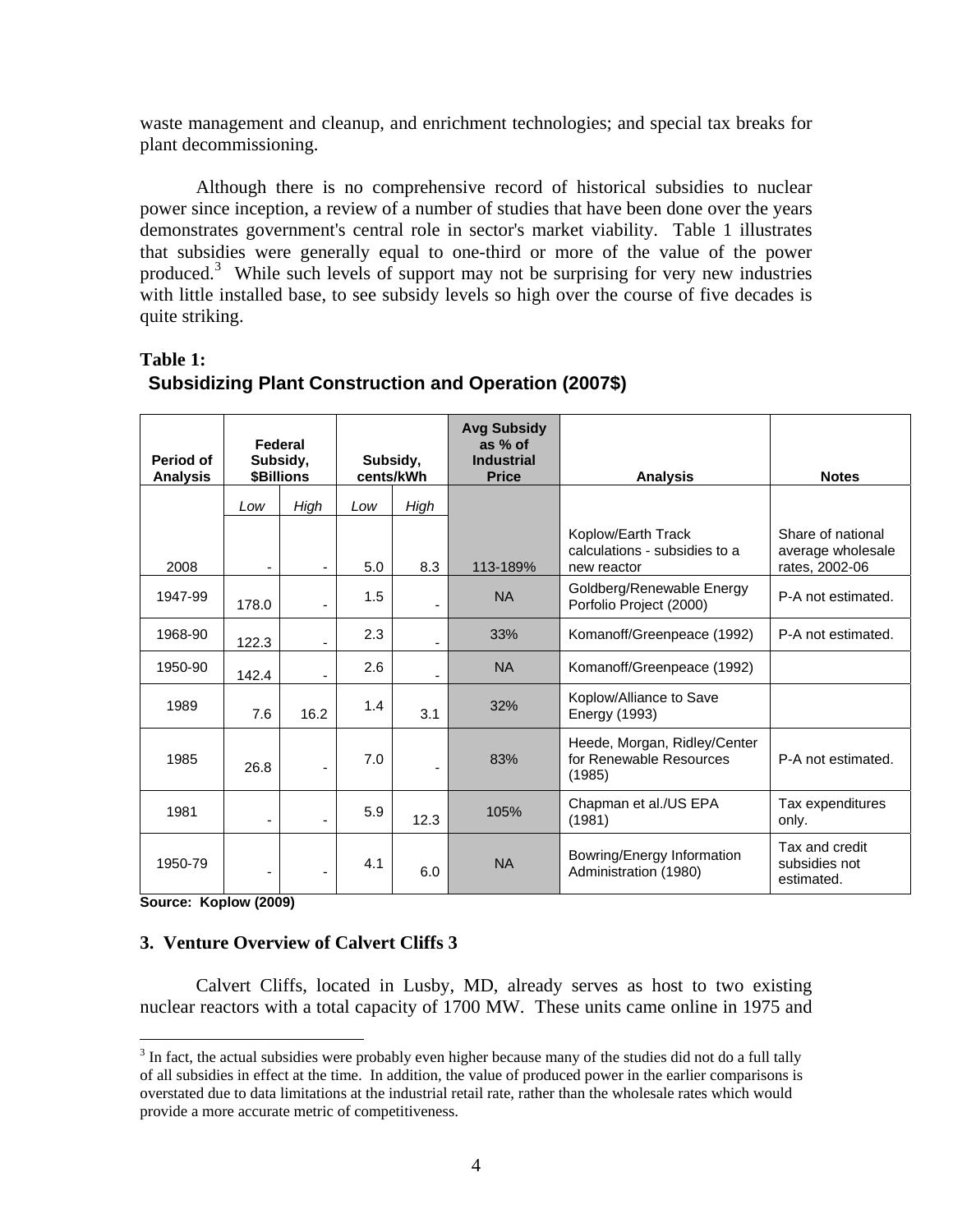<span id="page-3-0"></span>waste management and cleanup, and enrichment technologies; and special tax breaks for plant decommissioning.

Although there is no comprehensive record of historical subsidies to nuclear power since inception, a review of a number of studies that have been done over the years demonstrates government's central role in sector's market viability. Table 1 illustrates that subsidies were generally equal to one-third or more of the value of the power produced.<sup>[3](#page-3-0)</sup> While such levels of support may not be surprising for very new industries with little installed base, to see subsidy levels so high over the course of five decades is quite striking.

| Period of<br><b>Analysis</b> | Federal<br>Subsidy,<br>\$Billions |                          | Subsidy,<br>cents/kWh |      | <b>Avg Subsidy</b><br>as % of<br><b>Industrial</b><br><b>Price</b> | <b>Analysis</b>                                                    | <b>Notes</b>                                             |  |
|------------------------------|-----------------------------------|--------------------------|-----------------------|------|--------------------------------------------------------------------|--------------------------------------------------------------------|----------------------------------------------------------|--|
|                              | Low                               | High                     | Low                   | High |                                                                    |                                                                    |                                                          |  |
| 2008                         |                                   | $\overline{\phantom{0}}$ | 5.0                   | 8.3  | 113-189%                                                           | Koplow/Earth Track<br>calculations - subsidies to a<br>new reactor | Share of national<br>average wholesale<br>rates, 2002-06 |  |
| 1947-99                      | 178.0                             | $\overline{\phantom{0}}$ | 1.5                   |      | <b>NA</b>                                                          | Goldberg/Renewable Energy<br>Porfolio Project (2000)               | P-A not estimated.                                       |  |
| 1968-90                      | 122.3                             | ٠                        | 2.3                   |      | 33%                                                                | Komanoff/Greenpeace (1992)                                         | P-A not estimated.                                       |  |
| 1950-90                      | 142.4                             |                          | 2.6                   |      | <b>NA</b>                                                          | Komanoff/Greenpeace (1992)                                         |                                                          |  |
| 1989                         | 7.6                               | 16.2                     | 1.4                   | 3.1  | 32%                                                                | Koplow/Alliance to Save<br>Energy (1993)                           |                                                          |  |
| 1985                         | 26.8                              | Ξ.                       | 7.0                   |      | 83%                                                                | Heede, Morgan, Ridley/Center<br>for Renewable Resources<br>(1985)  | P-A not estimated.                                       |  |
| 1981                         |                                   | Ξ.                       | 5.9                   | 12.3 | 105%                                                               | Chapman et al./US EPA<br>(1981)                                    | Tax expenditures<br>only.                                |  |
| 1950-79                      |                                   |                          | 4.1                   | 6.0  | <b>NA</b>                                                          | Bowring/Energy Information<br>Administration (1980)                | Tax and credit<br>subsidies not<br>estimated.            |  |

# **Table 1: Subsidizing Plant Construction and Operation (2007\$)**

**Source: Koplow (2009)**

## **3. Venture Overview of Calvert Cliffs 3**

Calvert Cliffs, located in Lusby, MD, already serves as host to two existing nuclear reactors with a total capacity of 1700 MW. These units came online in 1975 and

<sup>&</sup>lt;sup>3</sup> In fact, the actual subsidies were probably even higher because many of the studies did not do a full tally of all subsidies in effect at the time. In addition, the value of produced power in the earlier comparisons is overstated due to data limitations at the industrial retail rate, rather than the wholesale rates which would provide a more accurate metric of competitiveness.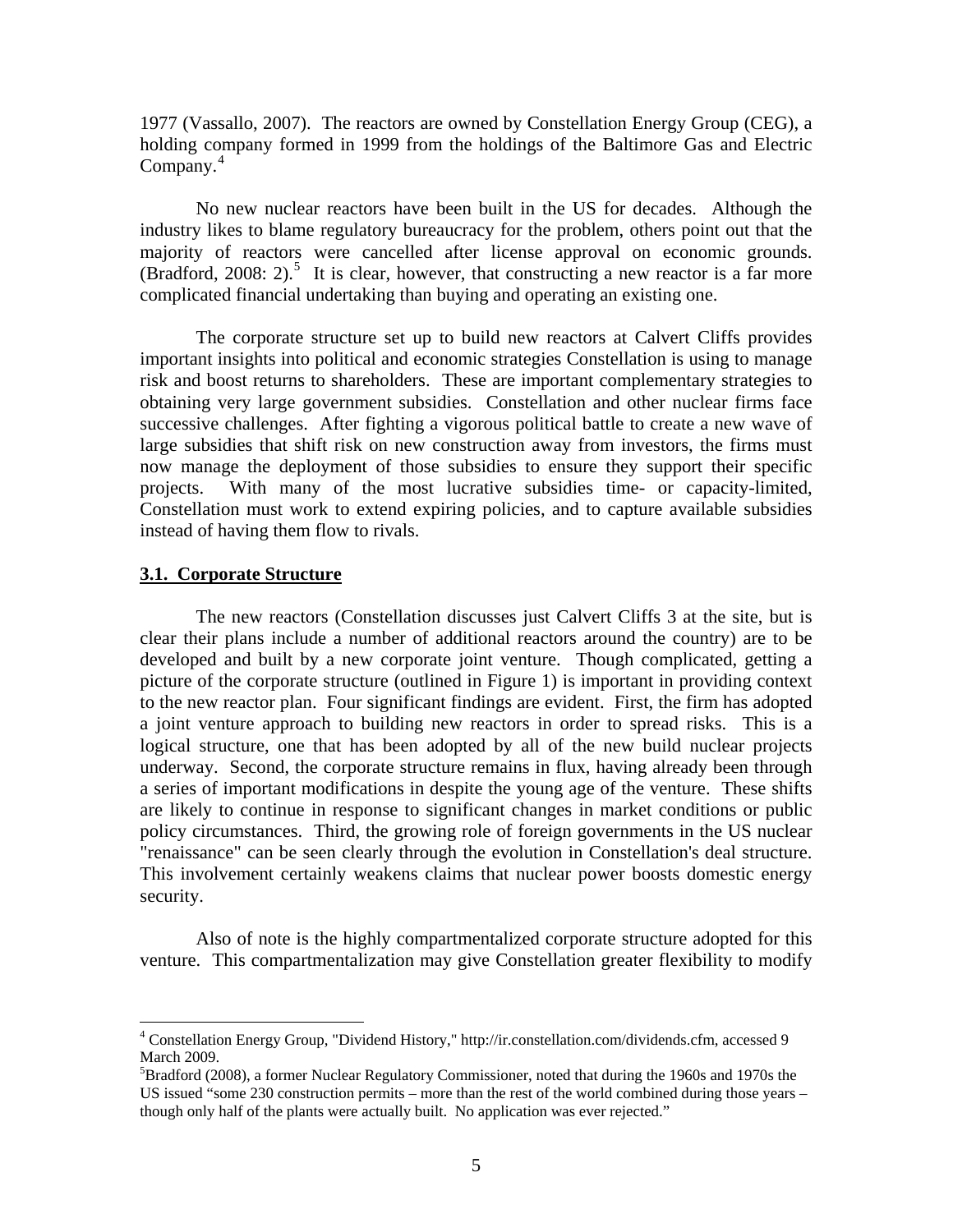<span id="page-4-0"></span>1977 (Vassallo, 2007). The reactors are owned by Constellation Energy Group (CEG), a holding company formed in 1999 from the holdings of the Baltimore Gas and Electric Company.<sup>[4](#page-4-0)</sup>

No new nuclear reactors have been built in the US for decades. Although the industry likes to blame regulatory bureaucracy for the problem, others point out that the majority of reactors were cancelled after license approval on economic grounds. (Bradford, 2008: 2).<sup>[5](#page-4-0)</sup> It is clear, however, that constructing a new reactor is a far more complicated financial undertaking than buying and operating an existing one.

The corporate structure set up to build new reactors at Calvert Cliffs provides important insights into political and economic strategies Constellation is using to manage risk and boost returns to shareholders. These are important complementary strategies to obtaining very large government subsidies. Constellation and other nuclear firms face successive challenges. After fighting a vigorous political battle to create a new wave of large subsidies that shift risk on new construction away from investors, the firms must now manage the deployment of those subsidies to ensure they support their specific projects. With many of the most lucrative subsidies time- or capacity-limited, Constellation must work to extend expiring policies, and to capture available subsidies instead of having them flow to rivals.

#### **3.1. Corporate Structure**

 $\overline{a}$ 

The new reactors (Constellation discusses just Calvert Cliffs 3 at the site, but is clear their plans include a number of additional reactors around the country) are to be developed and built by a new corporate joint venture. Though complicated, getting a picture of the corporate structure (outlined in Figure 1) is important in providing context to the new reactor plan. Four significant findings are evident. First, the firm has adopted a joint venture approach to building new reactors in order to spread risks. This is a logical structure, one that has been adopted by all of the new build nuclear projects underway. Second, the corporate structure remains in flux, having already been through a series of important modifications in despite the young age of the venture. These shifts are likely to continue in response to significant changes in market conditions or public policy circumstances. Third, the growing role of foreign governments in the US nuclear "renaissance" can be seen clearly through the evolution in Constellation's deal structure. This involvement certainly weakens claims that nuclear power boosts domestic energy security.

Also of note is the highly compartmentalized corporate structure adopted for this venture. This compartmentalization may give Constellation greater flexibility to modify

<sup>4</sup> Constellation Energy Group, "Dividend History," http://ir.constellation.com/dividends.cfm, accessed 9 March 2009.

<sup>&</sup>lt;sup>5</sup>Bradford (2008), a former Nuclear Regulatory Commissioner, noted that during the 1960s and 1970s the US issued "some 230 construction permits – more than the rest of the world combined during those years – though only half of the plants were actually built. No application was ever rejected."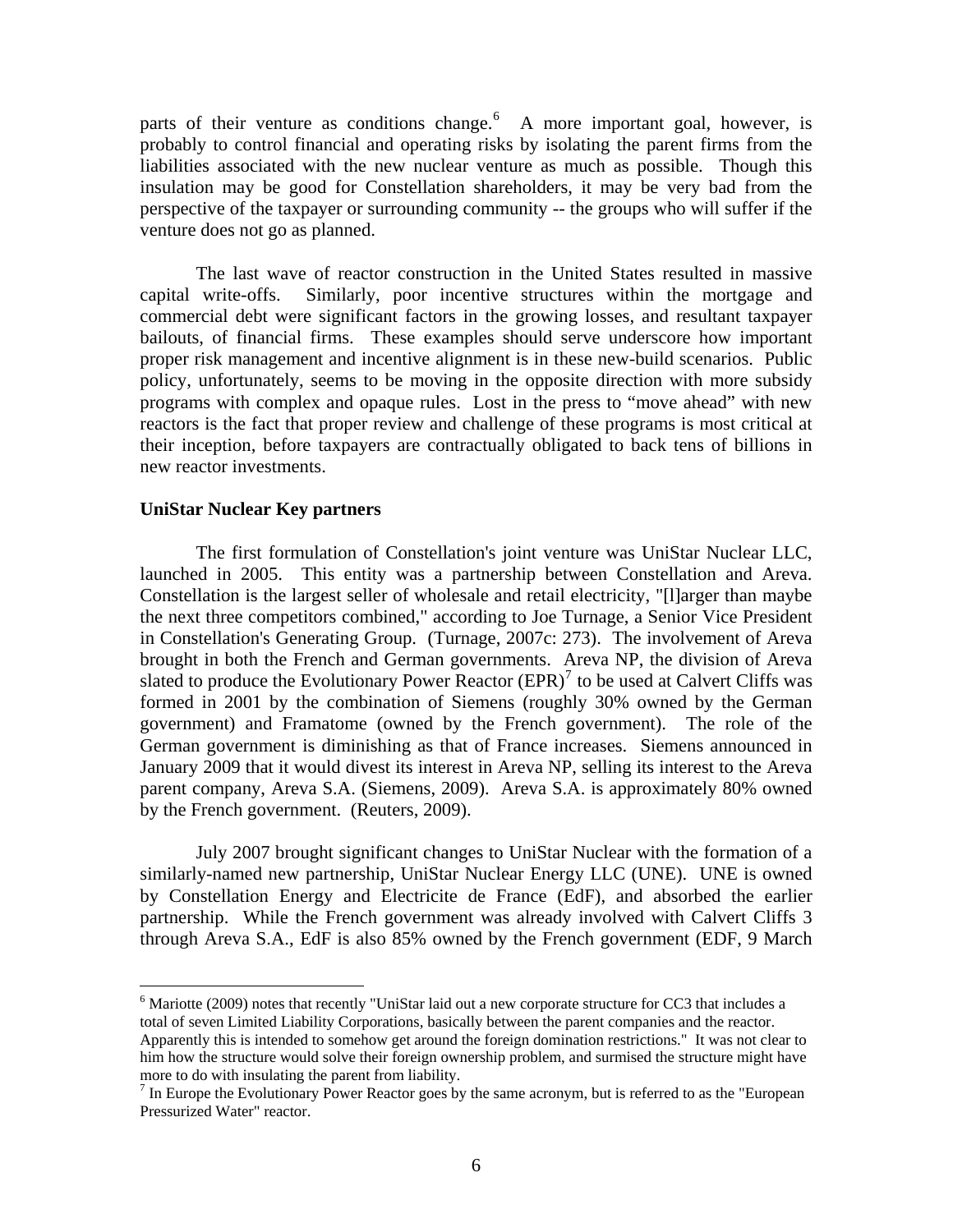<span id="page-5-0"></span>parts of their venture as conditions change.<sup>[6](#page-5-0)</sup> A more important goal, however, is probably to control financial and operating risks by isolating the parent firms from the liabilities associated with the new nuclear venture as much as possible. Though this insulation may be good for Constellation shareholders, it may be very bad from the perspective of the taxpayer or surrounding community -- the groups who will suffer if the venture does not go as planned.

The last wave of reactor construction in the United States resulted in massive capital write-offs. Similarly, poor incentive structures within the mortgage and commercial debt were significant factors in the growing losses, and resultant taxpayer bailouts, of financial firms. These examples should serve underscore how important proper risk management and incentive alignment is in these new-build scenarios. Public policy, unfortunately, seems to be moving in the opposite direction with more subsidy programs with complex and opaque rules. Lost in the press to "move ahead" with new reactors is the fact that proper review and challenge of these programs is most critical at their inception, before taxpayers are contractually obligated to back tens of billions in new reactor investments.

#### **UniStar Nuclear Key partners**

 $\overline{a}$ 

The first formulation of Constellation's joint venture was UniStar Nuclear LLC, launched in 2005. This entity was a partnership between Constellation and Areva. Constellation is the largest seller of wholesale and retail electricity, "[l]arger than maybe the next three competitors combined," according to Joe Turnage, a Senior Vice President in Constellation's Generating Group. (Turnage, 2007c: 273). The involvement of Areva brought in both the French and German governments. Areva NP, the division of Areva slated to produce the Evolutionary Power Reactor  $(EPR)^7$  $(EPR)^7$  to be used at Calvert Cliffs was formed in 2001 by the combination of Siemens (roughly 30% owned by the German government) and Framatome (owned by the French government). The role of the German government is diminishing as that of France increases. Siemens announced in January 2009 that it would divest its interest in Areva NP, selling its interest to the Areva parent company, Areva S.A. (Siemens, 2009). Areva S.A. is approximately 80% owned by the French government. (Reuters, 2009).

July 2007 brought significant changes to UniStar Nuclear with the formation of a similarly-named new partnership, UniStar Nuclear Energy LLC (UNE). UNE is owned by Constellation Energy and Electricite de France (EdF), and absorbed the earlier partnership. While the French government was already involved with Calvert Cliffs 3 through Areva S.A., EdF is also 85% owned by the French government (EDF, 9 March

<sup>&</sup>lt;sup>6</sup> Mariotte (2009) notes that recently "UniStar laid out a new corporate structure for CC3 that includes a total of seven Limited Liability Corporations, basically between the parent companies and the reactor. Apparently this is intended to somehow get around the foreign domination restrictions." It was not clear to him how the structure would solve their foreign ownership problem, and surmised the structure might have more to do with insulating the parent from liability.

 $<sup>7</sup>$  In Europe the Evolutionary Power Reactor goes by the same acronym, but is referred to as the "European"</sup> Pressurized Water" reactor.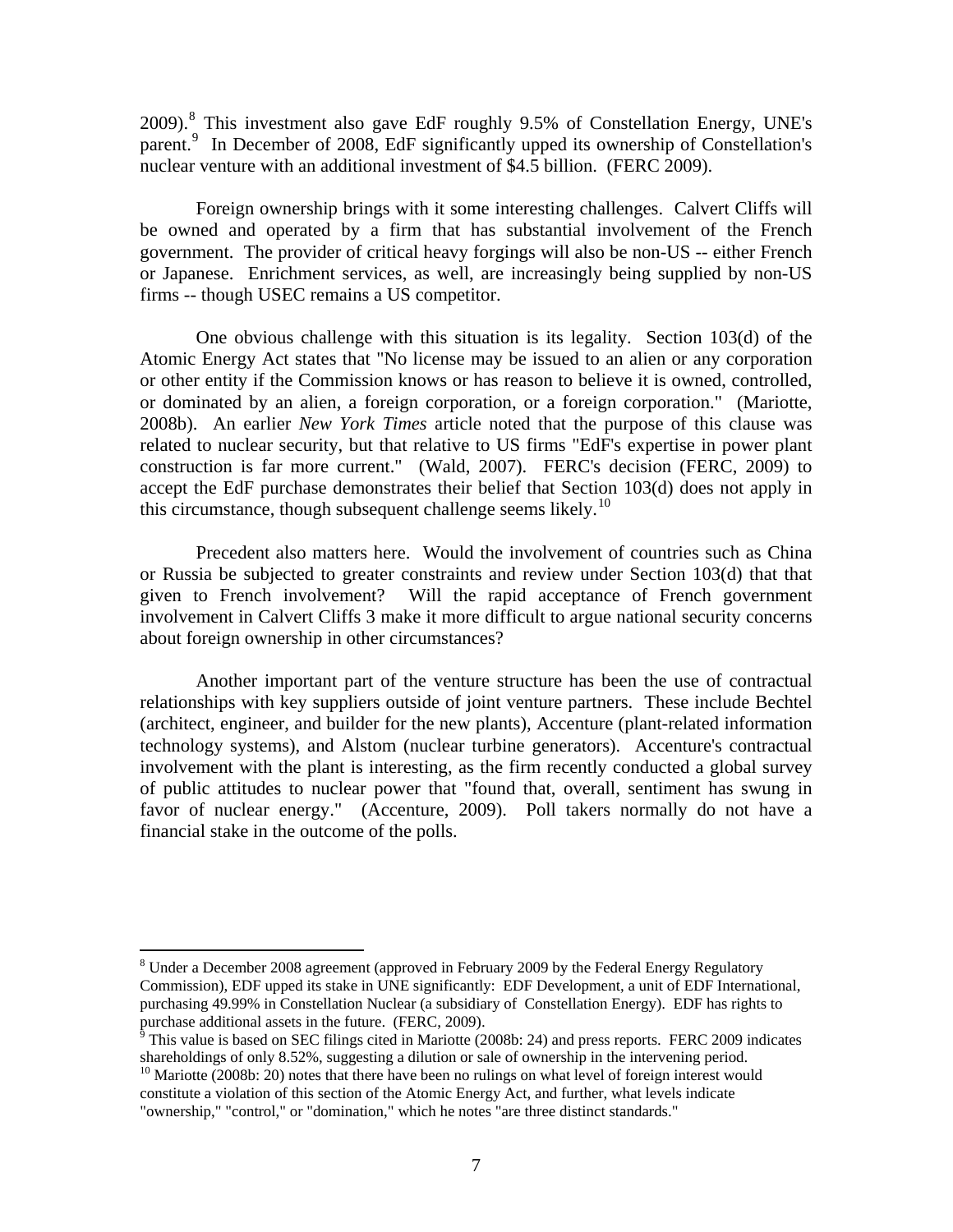<span id="page-6-0"></span>2009).<sup>[8](#page-6-0)</sup> This investment also gave EdF roughly 9.5% of Constellation Energy, UNE's parent.<sup>[9](#page-6-0)</sup> In December of 2008, EdF significantly upped its ownership of Constellation's nuclear venture with an additional investment of \$4.5 billion. (FERC 2009).

Foreign ownership brings with it some interesting challenges. Calvert Cliffs will be owned and operated by a firm that has substantial involvement of the French government. The provider of critical heavy forgings will also be non-US -- either French or Japanese. Enrichment services, as well, are increasingly being supplied by non-US firms -- though USEC remains a US competitor.

One obvious challenge with this situation is its legality. Section 103(d) of the Atomic Energy Act states that "No license may be issued to an alien or any corporation or other entity if the Commission knows or has reason to believe it is owned, controlled, or dominated by an alien, a foreign corporation, or a foreign corporation." (Mariotte, 2008b). An earlier *New York Times* article noted that the purpose of this clause was related to nuclear security, but that relative to US firms "EdF's expertise in power plant construction is far more current." (Wald, 2007). FERC's decision (FERC, 2009) to accept the EdF purchase demonstrates their belief that Section 103(d) does not apply in this circumstance, though subsequent challenge seems likely.<sup>[10](#page-6-0)</sup>

Precedent also matters here. Would the involvement of countries such as China or Russia be subjected to greater constraints and review under Section 103(d) that that given to French involvement? Will the rapid acceptance of French government involvement in Calvert Cliffs 3 make it more difficult to argue national security concerns about foreign ownership in other circumstances?

Another important part of the venture structure has been the use of contractual relationships with key suppliers outside of joint venture partners. These include Bechtel (architect, engineer, and builder for the new plants), Accenture (plant-related information technology systems), and Alstom (nuclear turbine generators). Accenture's contractual involvement with the plant is interesting, as the firm recently conducted a global survey of public attitudes to nuclear power that "found that, overall, sentiment has swung in favor of nuclear energy." (Accenture, 2009). Poll takers normally do not have a financial stake in the outcome of the polls.

 $\overline{a}$ 

<sup>&</sup>lt;sup>8</sup> Under a December 2008 agreement (approved in February 2009 by the Federal Energy Regulatory Commission), EDF upped its stake in UNE significantly: EDF Development, a unit of EDF International, purchasing 49.99% in Constellation Nuclear (a subsidiary of Constellation Energy). EDF has rights to purchase additional assets in the future. (FERC, 2009).

 $\overline{P}$ This value is based on SEC filings cited in Mariotte (2008b: 24) and press reports. FERC 2009 indicates shareholdings of only 8.52%, suggesting a dilution or sale of ownership in the intervening period. <sup>10</sup> Mariotte (2008b: 20) notes that there have been no rulings on what level of foreign interest would

constitute a violation of this section of the Atomic Energy Act, and further, what levels indicate "ownership," "control," or "domination," which he notes "are three distinct standards."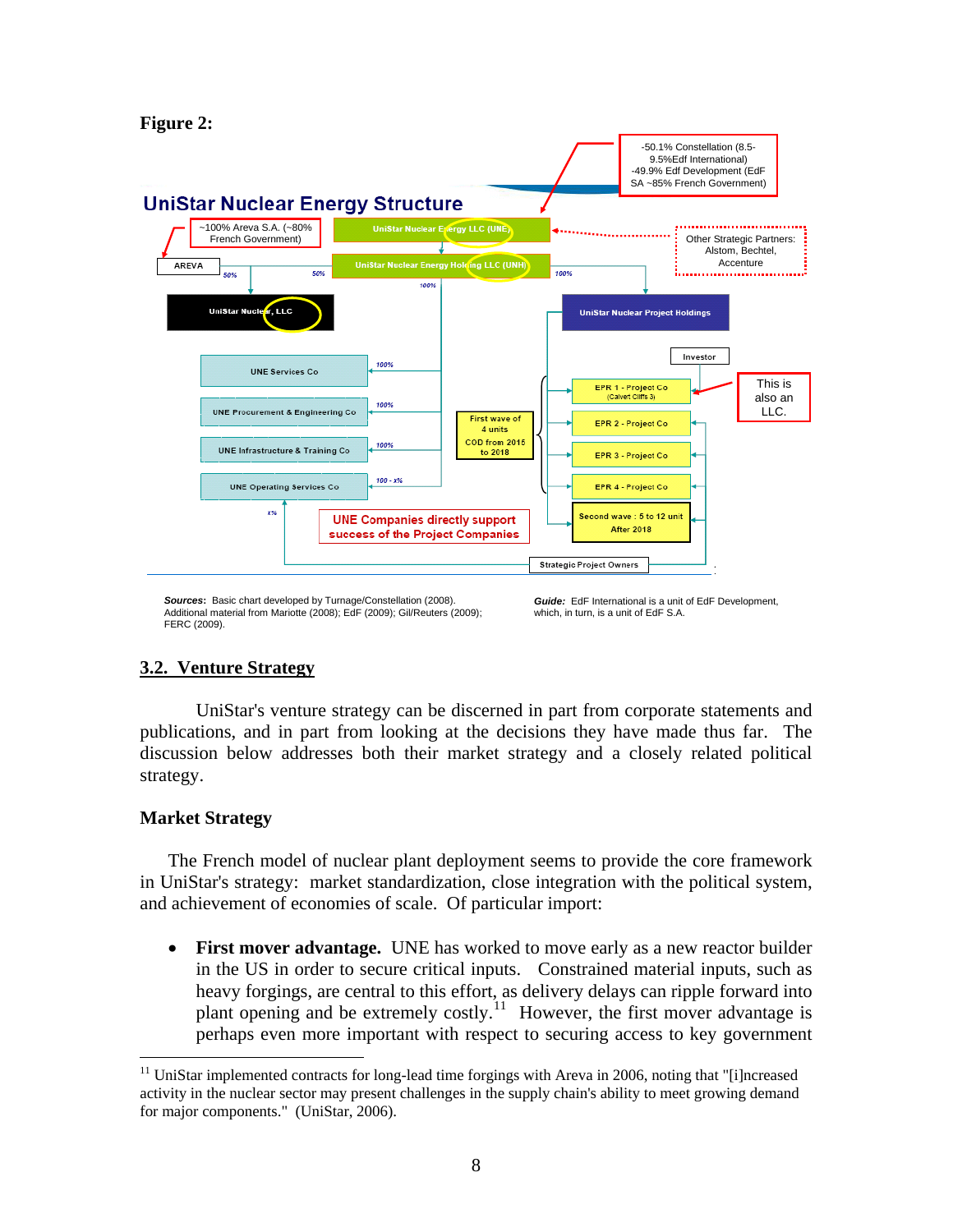<span id="page-7-0"></span>

## **3.2. Venture Strategy**

 UniStar's venture strategy can be discerned in part from corporate statements and publications, and in part from looking at the decisions they have made thus far. The discussion below addresses both their market strategy and a closely related political strategy.

#### **Market Strategy**

1

The French model of nuclear plant deployment seems to provide the core framework in UniStar's strategy: market standardization, close integration with the political system, and achievement of economies of scale. Of particular import:

• **First mover advantage.** UNE has worked to move early as a new reactor builder in the US in order to secure critical inputs. Constrained material inputs, such as heavy forgings, are central to this effort, as delivery delays can ripple forward into plant opening and be extremely costly.<sup>[11](#page-7-0)</sup> However, the first mover advantage is perhaps even more important with respect to securing access to key government

<sup>&</sup>lt;sup>11</sup> UniStar implemented contracts for long-lead time forgings with Areva in 2006, noting that "[i]ncreased activity in the nuclear sector may present challenges in the supply chain's ability to meet growing demand for major components." (UniStar, 2006).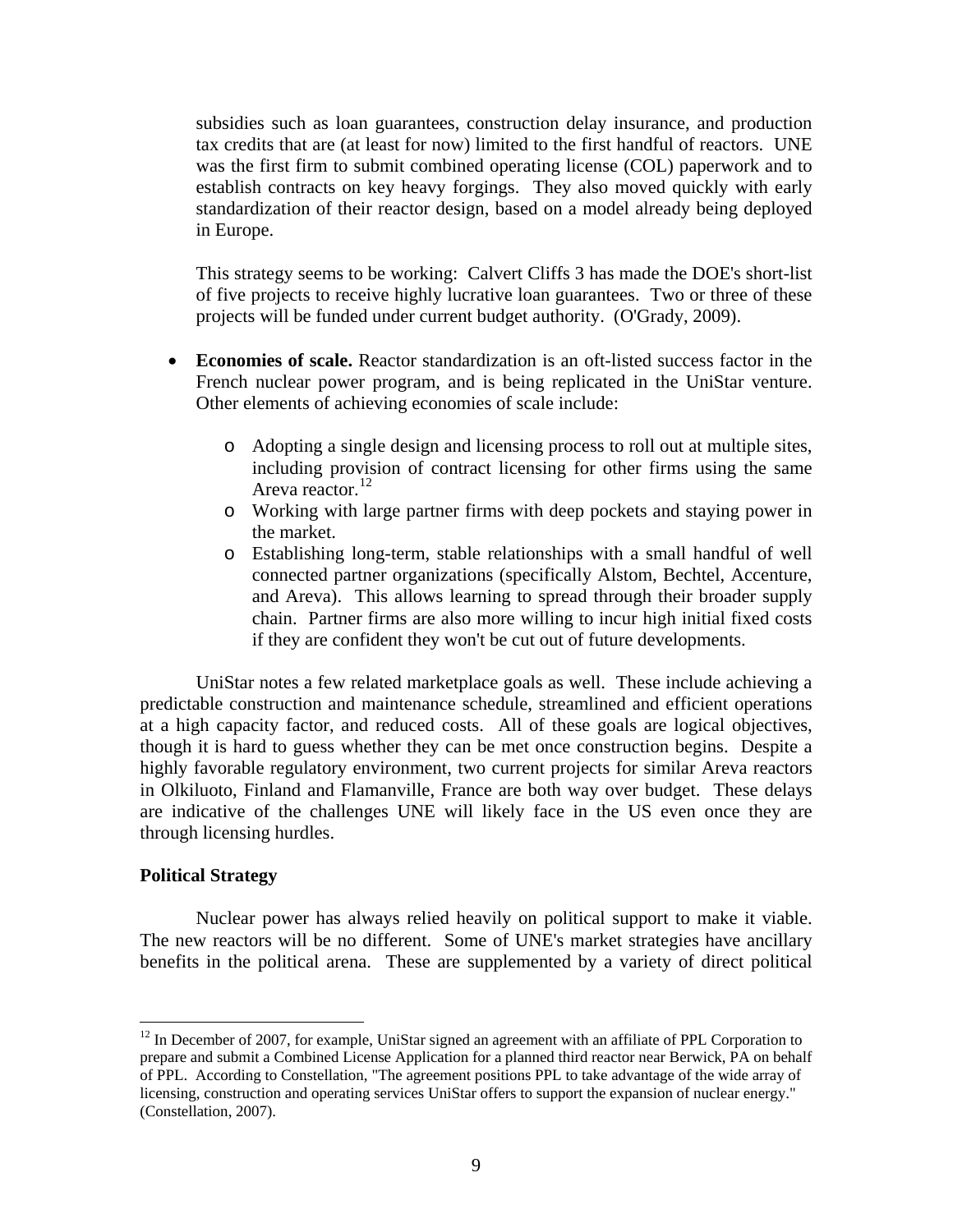<span id="page-8-0"></span>subsidies such as loan guarantees, construction delay insurance, and production tax credits that are (at least for now) limited to the first handful of reactors. UNE was the first firm to submit combined operating license (COL) paperwork and to establish contracts on key heavy forgings. They also moved quickly with early standardization of their reactor design, based on a model already being deployed in Europe.

This strategy seems to be working: Calvert Cliffs 3 has made the DOE's short-list of five projects to receive highly lucrative loan guarantees. Two or three of these projects will be funded under current budget authority. (O'Grady, 2009).

- **Economies of scale.** Reactor standardization is an oft-listed success factor in the French nuclear power program, and is being replicated in the UniStar venture. Other elements of achieving economies of scale include:
	- o Adopting a single design and licensing process to roll out at multiple sites, including provision of contract licensing for other firms using the same Areva reactor.<sup>[12](#page-8-0)</sup>
	- o Working with large partner firms with deep pockets and staying power in the market.
	- o Establishing long-term, stable relationships with a small handful of well connected partner organizations (specifically Alstom, Bechtel, Accenture, and Areva). This allows learning to spread through their broader supply chain. Partner firms are also more willing to incur high initial fixed costs if they are confident they won't be cut out of future developments.

UniStar notes a few related marketplace goals as well. These include achieving a predictable construction and maintenance schedule, streamlined and efficient operations at a high capacity factor, and reduced costs. All of these goals are logical objectives, though it is hard to guess whether they can be met once construction begins. Despite a highly favorable regulatory environment, two current projects for similar Areva reactors in Olkiluoto, Finland and Flamanville, France are both way over budget. These delays are indicative of the challenges UNE will likely face in the US even once they are through licensing hurdles.

### **Political Strategy**

 $\overline{a}$ 

Nuclear power has always relied heavily on political support to make it viable. The new reactors will be no different. Some of UNE's market strategies have ancillary benefits in the political arena. These are supplemented by a variety of direct political

 $12$  In December of 2007, for example, UniStar signed an agreement with an affiliate of PPL Corporation to prepare and submit a Combined License Application for a planned third reactor near Berwick, PA on behalf of PPL. According to Constellation, "The agreement positions PPL to take advantage of the wide array of licensing, construction and operating services UniStar offers to support the expansion of nuclear energy." (Constellation, 2007).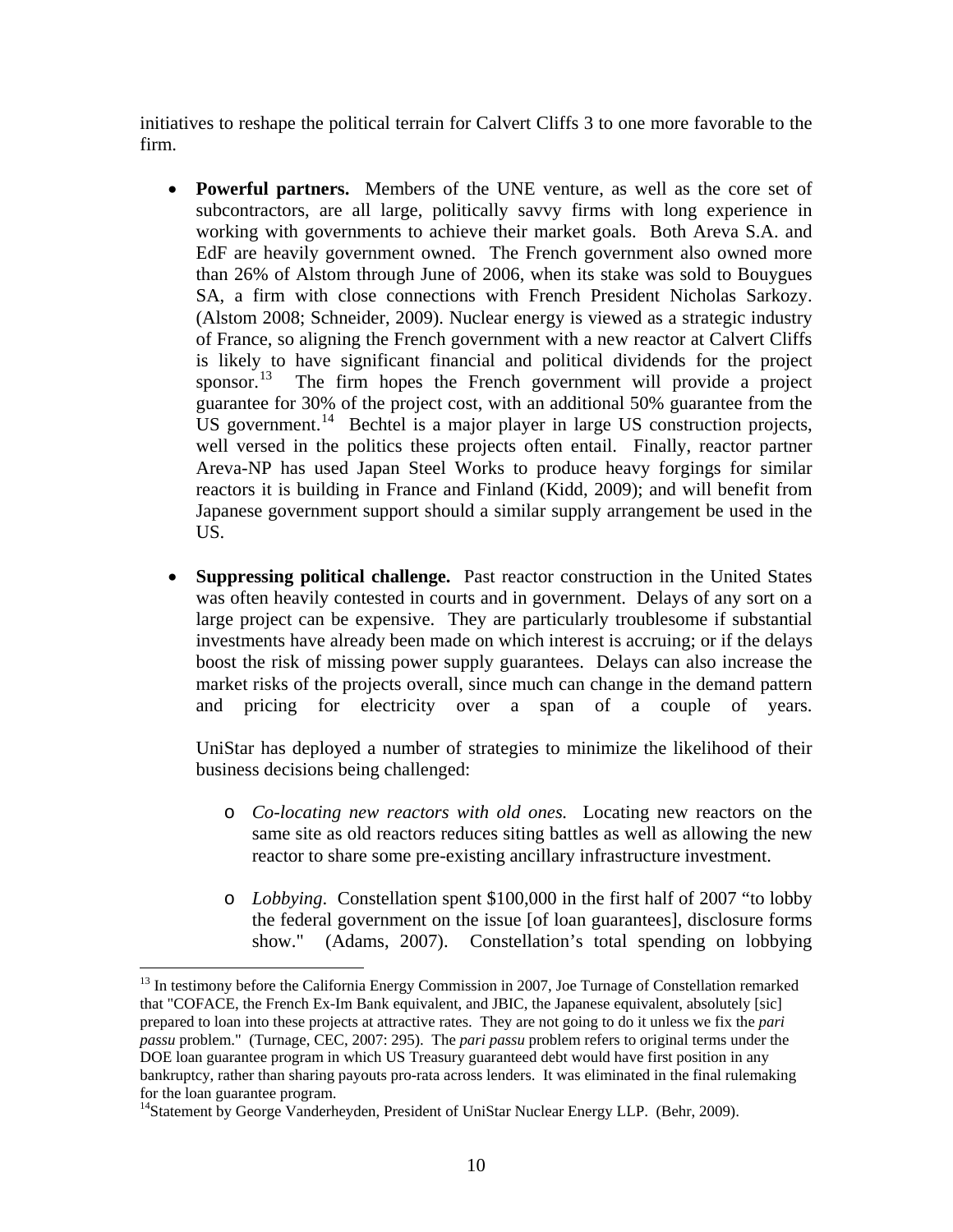<span id="page-9-0"></span>initiatives to reshape the political terrain for Calvert Cliffs 3 to one more favorable to the firm.

- **Powerful partners.** Members of the UNE venture, as well as the core set of subcontractors, are all large, politically savvy firms with long experience in working with governments to achieve their market goals. Both Areva S.A. and EdF are heavily government owned. The French government also owned more than 26% of Alstom through June of 2006, when its stake was sold to Bouygues SA, a firm with close connections with French President Nicholas Sarkozy. (Alstom 2008; Schneider, 2009). Nuclear energy is viewed as a strategic industry of France, so aligning the French government with a new reactor at Calvert Cliffs is likely to have significant financial and political dividends for the project sponsor.<sup>[13](#page-9-0)</sup> The firm hopes the French government will provide a project guarantee for 30% of the project cost, with an additional 50% guarantee from the US government.<sup>[14](#page-9-0)</sup> Bechtel is a major player in large US construction projects, well versed in the politics these projects often entail. Finally, reactor partner Areva-NP has used Japan Steel Works to produce heavy forgings for similar reactors it is building in France and Finland (Kidd, 2009); and will benefit from Japanese government support should a similar supply arrangement be used in the US.
- **Suppressing political challenge.** Past reactor construction in the United States was often heavily contested in courts and in government. Delays of any sort on a large project can be expensive. They are particularly troublesome if substantial investments have already been made on which interest is accruing; or if the delays boost the risk of missing power supply guarantees. Delays can also increase the market risks of the projects overall, since much can change in the demand pattern and pricing for electricity over a span of a couple of years.

UniStar has deployed a number of strategies to minimize the likelihood of their business decisions being challenged:

- o *Co-locating new reactors with old ones.* Locating new reactors on the same site as old reactors reduces siting battles as well as allowing the new reactor to share some pre-existing ancillary infrastructure investment.
- o *Lobbying*. Constellation spent \$100,000 in the first half of 2007 "to lobby the federal government on the issue [of loan guarantees], disclosure forms show." (Adams, 2007). Constellation's total spending on lobbying

 $\overline{a}$ 

<sup>&</sup>lt;sup>13</sup> In testimony before the California Energy Commission in 2007, Joe Turnage of Constellation remarked that "COFACE, the French Ex-Im Bank equivalent, and JBIC, the Japanese equivalent, absolutely [sic] prepared to loan into these projects at attractive rates. They are not going to do it unless we fix the *pari passu* problem." (Turnage, CEC, 2007: 295). The *pari passu* problem refers to original terms under the DOE loan guarantee program in which US Treasury guaranteed debt would have first position in any bankruptcy, rather than sharing payouts pro-rata across lenders. It was eliminated in the final rulemaking for the loan guarantee program.

<sup>&</sup>lt;sup>14</sup>Statement by George Vanderheyden, President of UniStar Nuclear Energy LLP. (Behr, 2009).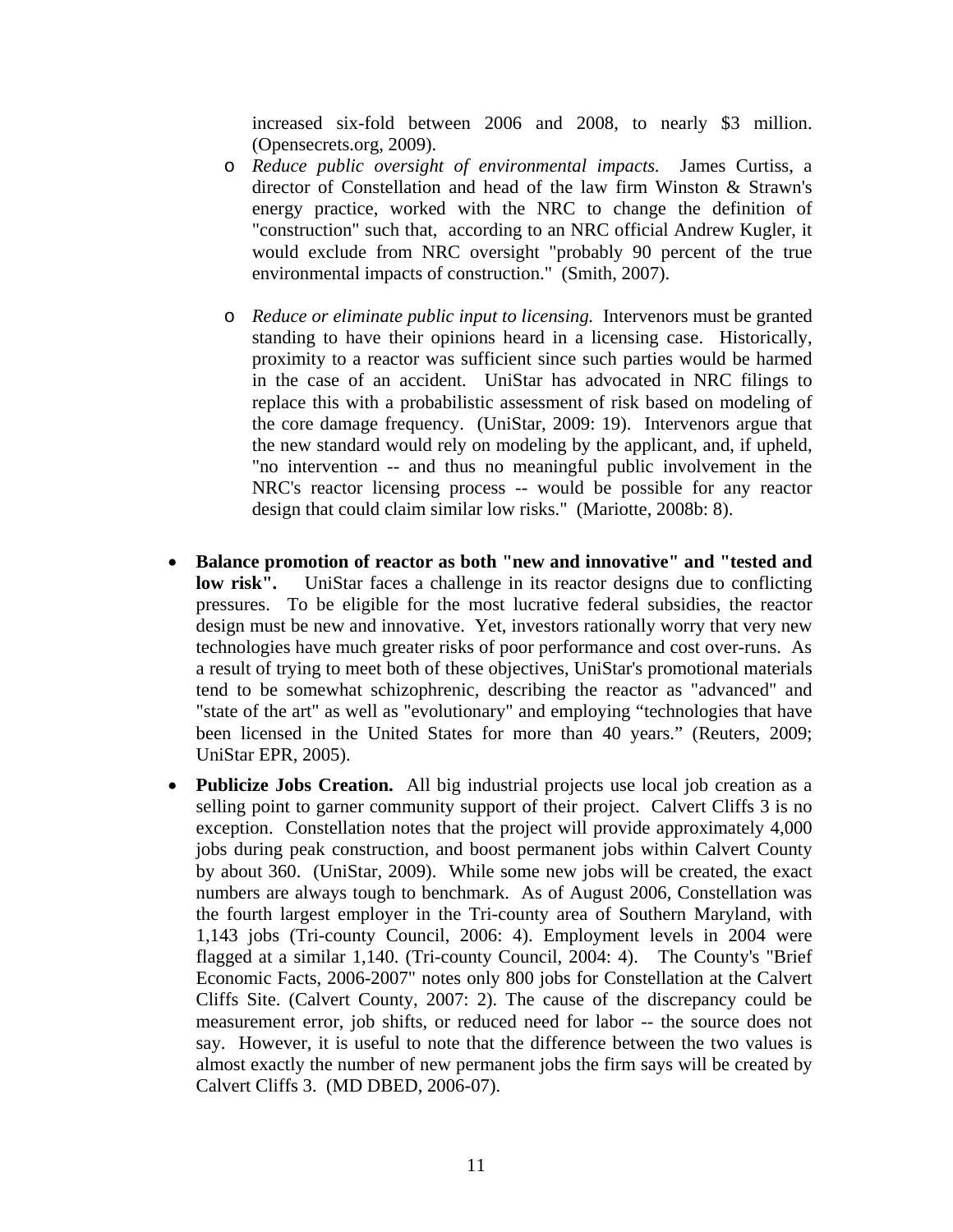increased six-fold between 2006 and 2008, to nearly \$3 million. (Opensecrets.org, 2009).

- o *Reduce public oversight of environmental impacts.*James Curtiss, a director of Constellation and head of the law firm Winston & Strawn's energy practice, worked with the NRC to change the definition of "construction" such that, according to an NRC official Andrew Kugler, it would exclude from NRC oversight "probably 90 percent of the true environmental impacts of construction." (Smith, 2007).
- o *Reduce or eliminate public input to licensing.* Intervenors must be granted standing to have their opinions heard in a licensing case. Historically, proximity to a reactor was sufficient since such parties would be harmed in the case of an accident. UniStar has advocated in NRC filings to replace this with a probabilistic assessment of risk based on modeling of the core damage frequency. (UniStar, 2009: 19). Intervenors argue that the new standard would rely on modeling by the applicant, and, if upheld, "no intervention -- and thus no meaningful public involvement in the NRC's reactor licensing process -- would be possible for any reactor design that could claim similar low risks." (Mariotte, 2008b: 8).
- **Balance promotion of reactor as both "new and innovative" and "tested and low risk".** UniStar faces a challenge in its reactor designs due to conflicting pressures. To be eligible for the most lucrative federal subsidies, the reactor design must be new and innovative. Yet, investors rationally worry that very new technologies have much greater risks of poor performance and cost over-runs. As a result of trying to meet both of these objectives, UniStar's promotional materials tend to be somewhat schizophrenic, describing the reactor as "advanced" and "state of the art" as well as "evolutionary" and employing "technologies that have been licensed in the United States for more than 40 years." (Reuters, 2009; UniStar EPR, 2005).
- **Publicize Jobs Creation.** All big industrial projects use local job creation as a selling point to garner community support of their project. Calvert Cliffs 3 is no exception. Constellation notes that the project will provide approximately 4,000 jobs during peak construction, and boost permanent jobs within Calvert County by about 360. (UniStar, 2009). While some new jobs will be created, the exact numbers are always tough to benchmark. As of August 2006, Constellation was the fourth largest employer in the Tri-county area of Southern Maryland, with 1,143 jobs (Tri-county Council, 2006: 4). Employment levels in 2004 were flagged at a similar 1,140. (Tri-county Council, 2004: 4). The County's "Brief Economic Facts, 2006-2007" notes only 800 jobs for Constellation at the Calvert Cliffs Site. (Calvert County, 2007: 2). The cause of the discrepancy could be measurement error, job shifts, or reduced need for labor -- the source does not say. However, it is useful to note that the difference between the two values is almost exactly the number of new permanent jobs the firm says will be created by Calvert Cliffs 3. (MD DBED, 2006-07).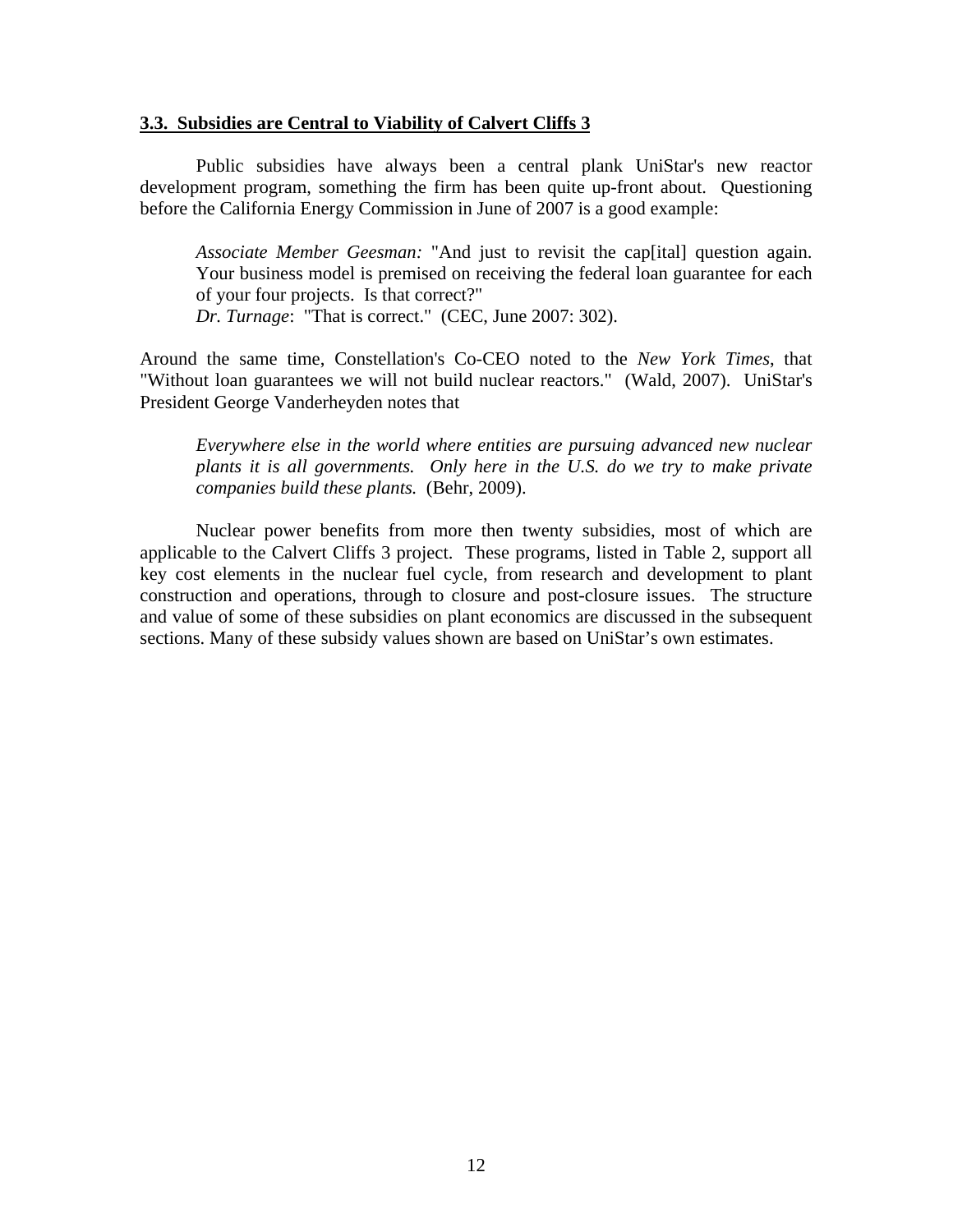#### **3.3. Subsidies are Central to Viability of Calvert Cliffs 3**

 Public subsidies have always been a central plank UniStar's new reactor development program, something the firm has been quite up-front about. Questioning before the California Energy Commission in June of 2007 is a good example:

*Associate Member Geesman:* "And just to revisit the cap[ital] question again. Your business model is premised on receiving the federal loan guarantee for each of your four projects. Is that correct?" *Dr. Turnage*: "That is correct." (CEC, June 2007: 302).

Around the same time, Constellation's Co-CEO noted to the *New York Times*, that "Without loan guarantees we will not build nuclear reactors." (Wald, 2007). UniStar's President George Vanderheyden notes that

*Everywhere else in the world where entities are pursuing advanced new nuclear plants it is all governments. Only here in the U.S. do we try to make private companies build these plants.* (Behr, 2009).

Nuclear power benefits from more then twenty subsidies, most of which are applicable to the Calvert Cliffs 3 project. These programs, listed in Table 2, support all key cost elements in the nuclear fuel cycle, from research and development to plant construction and operations, through to closure and post-closure issues. The structure and value of some of these subsidies on plant economics are discussed in the subsequent sections. Many of these subsidy values shown are based on UniStar's own estimates.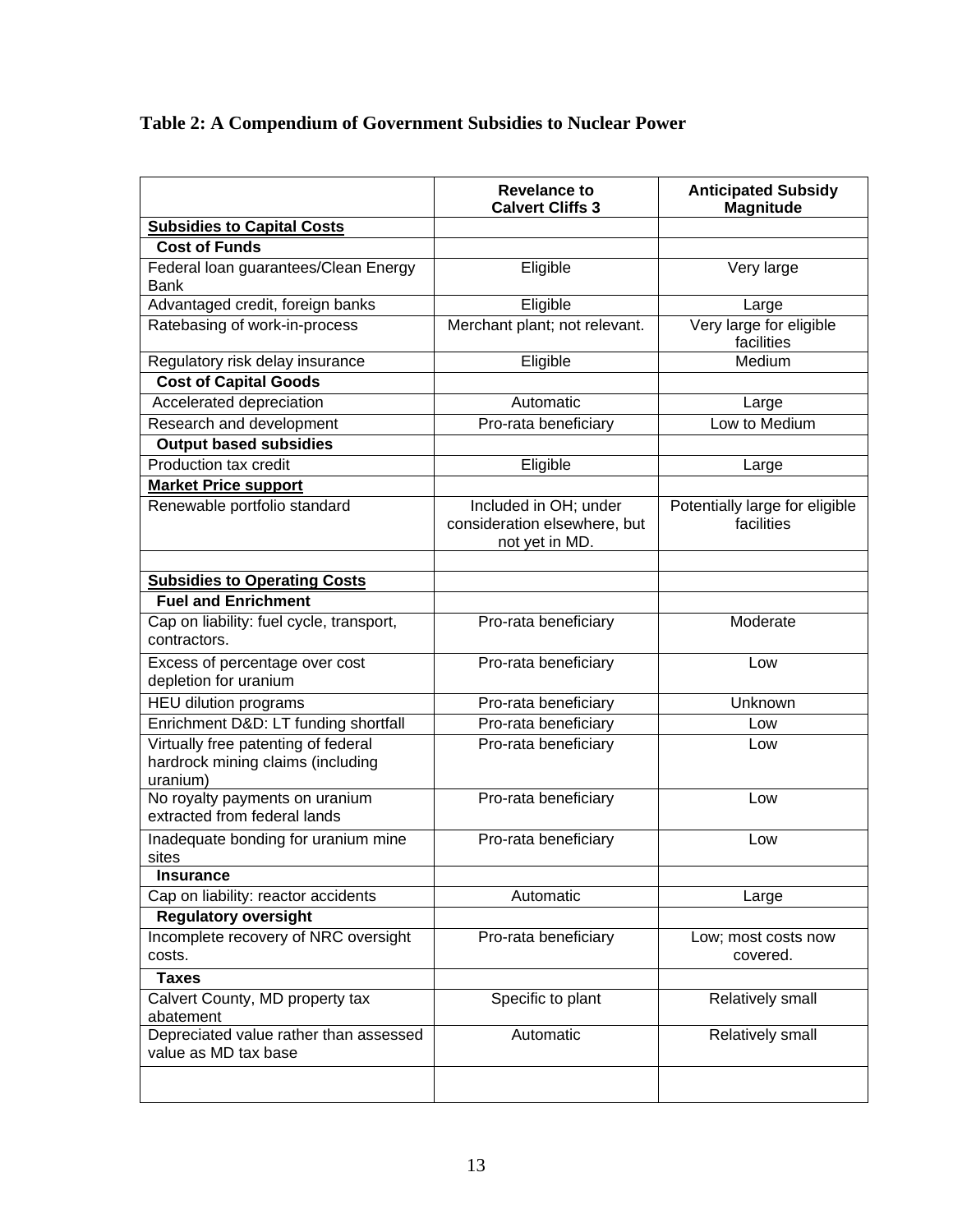|  |  |  | Table 2: A Compendium of Government Subsidies to Nuclear Power |
|--|--|--|----------------------------------------------------------------|
|--|--|--|----------------------------------------------------------------|

|                                                                                      | <b>Revelance to</b><br><b>Calvert Cliffs 3</b>                          | <b>Anticipated Subsidy</b><br><b>Magnitude</b> |
|--------------------------------------------------------------------------------------|-------------------------------------------------------------------------|------------------------------------------------|
| <b>Subsidies to Capital Costs</b>                                                    |                                                                         |                                                |
| <b>Cost of Funds</b>                                                                 |                                                                         |                                                |
| Federal loan guarantees/Clean Energy<br>Bank                                         | Eligible                                                                | Very large                                     |
| Advantaged credit, foreign banks                                                     | Eligible                                                                | Large                                          |
| Ratebasing of work-in-process                                                        | Merchant plant; not relevant.                                           | Very large for eligible<br>facilities          |
| Regulatory risk delay insurance                                                      | Eligible                                                                | Medium                                         |
| <b>Cost of Capital Goods</b>                                                         |                                                                         |                                                |
| Accelerated depreciation                                                             | Automatic                                                               | Large                                          |
| Research and development                                                             | Pro-rata beneficiary                                                    | Low to Medium                                  |
| <b>Output based subsidies</b>                                                        |                                                                         |                                                |
| Production tax credit                                                                | Eligible                                                                | Large                                          |
| <b>Market Price support</b>                                                          |                                                                         |                                                |
| Renewable portfolio standard                                                         | Included in OH; under<br>consideration elsewhere, but<br>not yet in MD. | Potentially large for eligible<br>facilities   |
|                                                                                      |                                                                         |                                                |
| <b>Subsidies to Operating Costs</b>                                                  |                                                                         |                                                |
| <b>Fuel and Enrichment</b>                                                           |                                                                         |                                                |
| Cap on liability: fuel cycle, transport,<br>contractors.                             | Pro-rata beneficiary                                                    | Moderate                                       |
| Excess of percentage over cost<br>depletion for uranium                              | Pro-rata beneficiary                                                    | Low                                            |
| HEU dilution programs                                                                | Pro-rata beneficiary                                                    | Unknown                                        |
| Enrichment D&D: LT funding shortfall                                                 | Pro-rata beneficiary                                                    | Low                                            |
| Virtually free patenting of federal<br>hardrock mining claims (including<br>uranium) | Pro-rata beneficiary                                                    | Low                                            |
| No royalty payments on uranium<br>extracted from federal lands                       | Pro-rata beneficiary                                                    | Low                                            |
| Inadequate bonding for uranium mine<br>sites                                         | Pro-rata beneficiary                                                    | Low                                            |
| <b>Insurance</b>                                                                     |                                                                         |                                                |
| Cap on liability: reactor accidents                                                  | Automatic                                                               | Large                                          |
| <b>Regulatory oversight</b>                                                          |                                                                         |                                                |
| Incomplete recovery of NRC oversight<br>costs.                                       | Pro-rata beneficiary                                                    | Low; most costs now<br>covered.                |
| <b>Taxes</b>                                                                         |                                                                         |                                                |
| Calvert County, MD property tax<br>abatement                                         | Specific to plant                                                       | Relatively small                               |
| Depreciated value rather than assessed<br>value as MD tax base                       | Automatic                                                               | Relatively small                               |
|                                                                                      |                                                                         |                                                |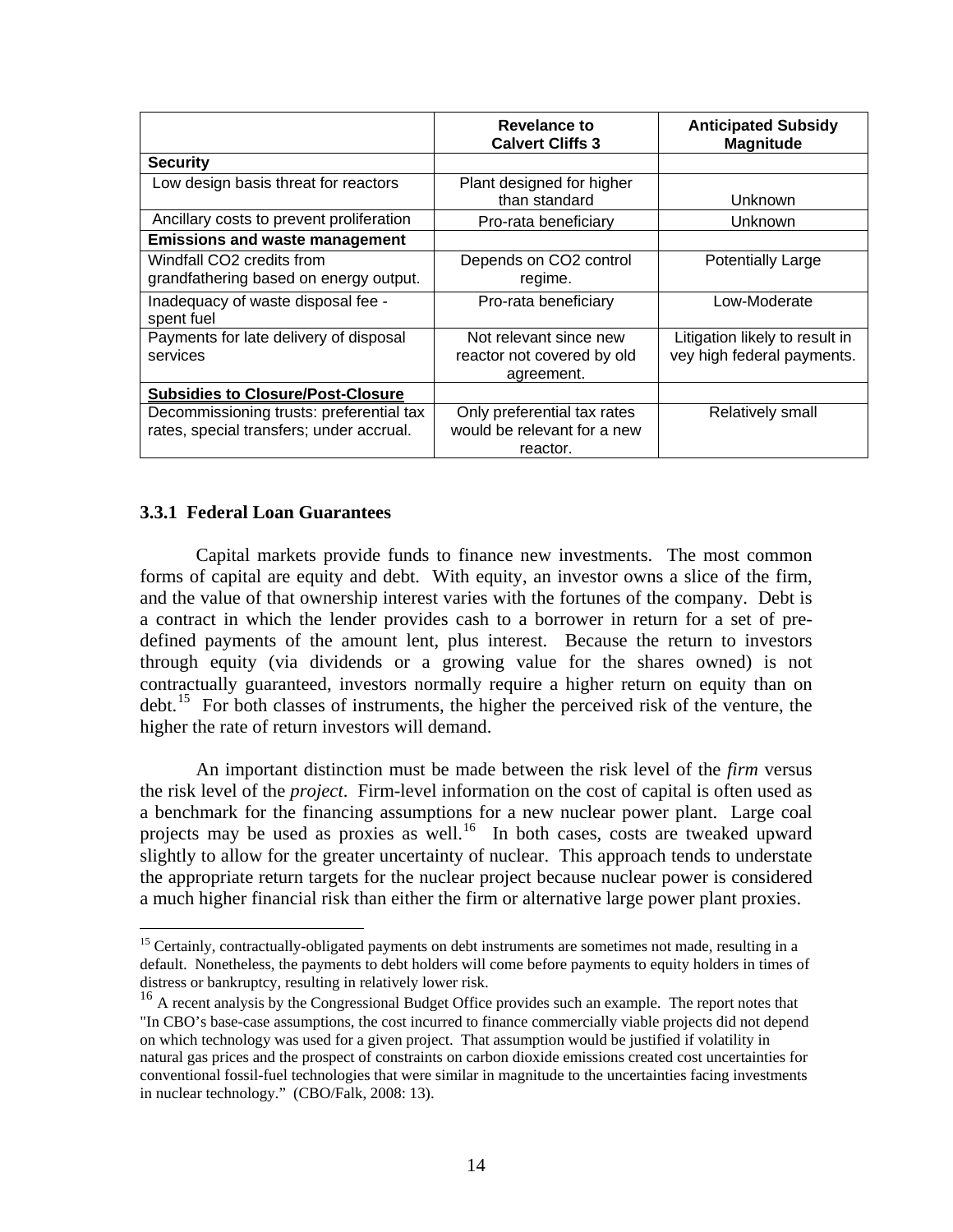<span id="page-13-0"></span>

|                                                                                      | Revelance to<br><b>Calvert Cliffs 3</b>                                | <b>Anticipated Subsidy</b><br><b>Magnitude</b> |
|--------------------------------------------------------------------------------------|------------------------------------------------------------------------|------------------------------------------------|
| <b>Security</b>                                                                      |                                                                        |                                                |
| Low design basis threat for reactors                                                 | Plant designed for higher<br>than standard                             | Unknown                                        |
| Ancillary costs to prevent proliferation                                             | Pro-rata beneficiary                                                   | Unknown                                        |
| <b>Emissions and waste management</b>                                                |                                                                        |                                                |
| Windfall CO2 credits from<br>grandfathering based on energy output.                  | Depends on CO2 control<br>regime.                                      | <b>Potentially Large</b>                       |
| Inadequacy of waste disposal fee -<br>spent fuel                                     | Pro-rata beneficiary                                                   | Low-Moderate                                   |
| Payments for late delivery of disposal                                               | Not relevant since new                                                 | Litigation likely to result in                 |
| services                                                                             | reactor not covered by old<br>agreement.                               | vey high federal payments.                     |
| <b>Subsidies to Closure/Post-Closure</b>                                             |                                                                        |                                                |
| Decommissioning trusts: preferential tax<br>rates, special transfers; under accrual. | Only preferential tax rates<br>would be relevant for a new<br>reactor. | <b>Relatively small</b>                        |

### **3.3.1 Federal Loan Guarantees**

 $\overline{a}$ 

Capital markets provide funds to finance new investments. The most common forms of capital are equity and debt. With equity, an investor owns a slice of the firm, and the value of that ownership interest varies with the fortunes of the company. Debt is a contract in which the lender provides cash to a borrower in return for a set of predefined payments of the amount lent, plus interest. Because the return to investors through equity (via dividends or a growing value for the shares owned) is not contractually guaranteed, investors normally require a higher return on equity than on debt.<sup>[15](#page-13-0)</sup> For both classes of instruments, the higher the perceived risk of the venture, the higher the rate of return investors will demand.

An important distinction must be made between the risk level of the *firm* versus the risk level of the *project*. Firm-level information on the cost of capital is often used as a benchmark for the financing assumptions for a new nuclear power plant. Large coal projects may be used as proxies as well.<sup>[16](#page-13-0)</sup> In both cases, costs are tweaked upward slightly to allow for the greater uncertainty of nuclear. This approach tends to understate the appropriate return targets for the nuclear project because nuclear power is considered a much higher financial risk than either the firm or alternative large power plant proxies.

<sup>&</sup>lt;sup>15</sup> Certainly, contractually-obligated payments on debt instruments are sometimes not made, resulting in a default. Nonetheless, the payments to debt holders will come before payments to equity holders in times of distress or bankruptcy, resulting in relatively lower risk.

<sup>&</sup>lt;sup>16</sup> A recent analysis by the Congressional Budget Office provides such an example. The report notes that "In CBO's base-case assumptions, the cost incurred to finance commercially viable projects did not depend on which technology was used for a given project. That assumption would be justified if volatility in natural gas prices and the prospect of constraints on carbon dioxide emissions created cost uncertainties for conventional fossil-fuel technologies that were similar in magnitude to the uncertainties facing investments in nuclear technology." (CBO/Falk, 2008: 13).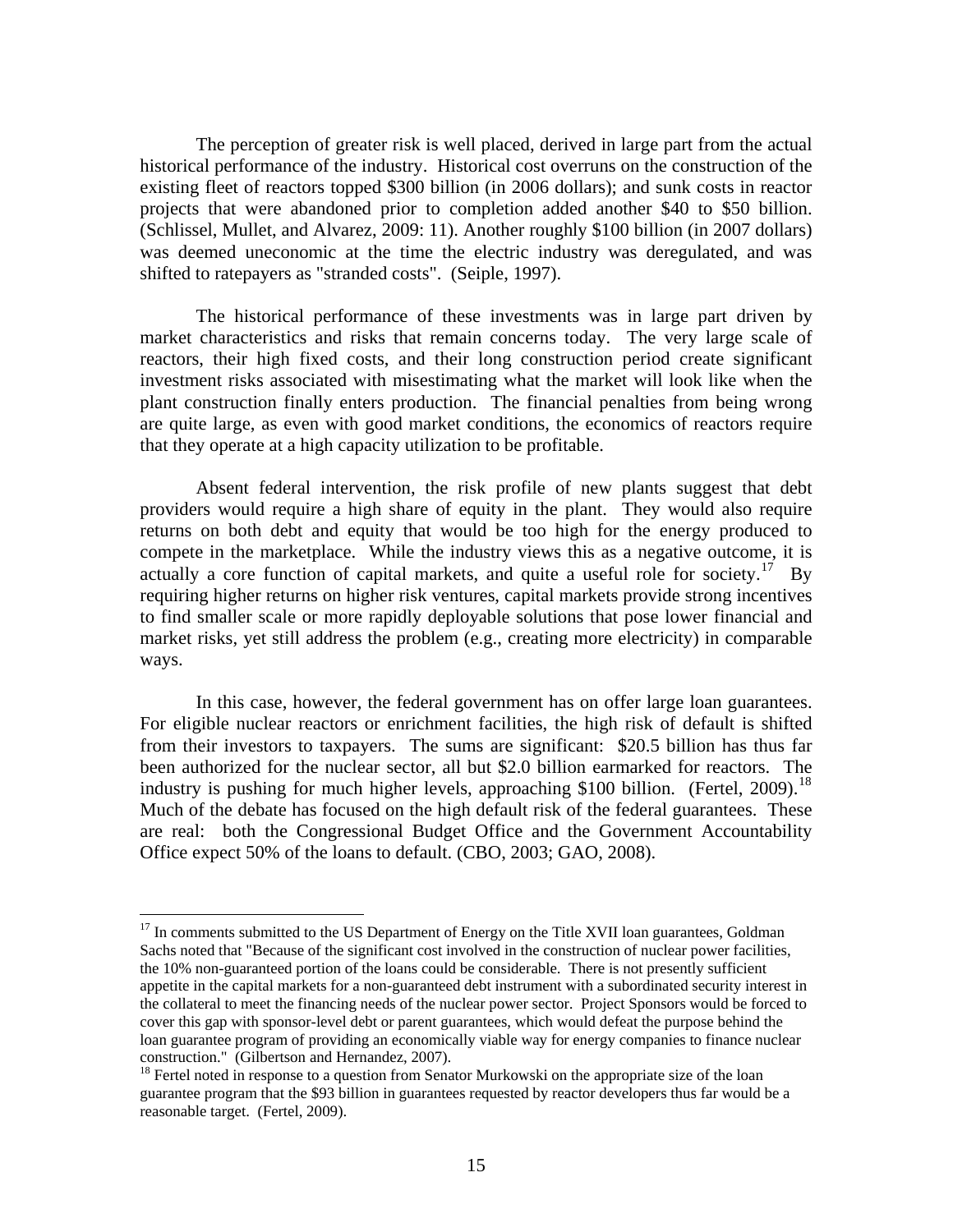<span id="page-14-0"></span>The perception of greater risk is well placed, derived in large part from the actual historical performance of the industry. Historical cost overruns on the construction of the existing fleet of reactors topped \$300 billion (in 2006 dollars); and sunk costs in reactor projects that were abandoned prior to completion added another \$40 to \$50 billion. (Schlissel, Mullet, and Alvarez, 2009: 11). Another roughly \$100 billion (in 2007 dollars) was deemed uneconomic at the time the electric industry was deregulated, and was shifted to ratepayers as "stranded costs". (Seiple, 1997).

The historical performance of these investments was in large part driven by market characteristics and risks that remain concerns today. The very large scale of reactors, their high fixed costs, and their long construction period create significant investment risks associated with misestimating what the market will look like when the plant construction finally enters production. The financial penalties from being wrong are quite large, as even with good market conditions, the economics of reactors require that they operate at a high capacity utilization to be profitable.

Absent federal intervention, the risk profile of new plants suggest that debt providers would require a high share of equity in the plant. They would also require returns on both debt and equity that would be too high for the energy produced to compete in the marketplace. While the industry views this as a negative outcome, it is actually a core function of capital markets, and quite a useful role for society.<sup>[17](#page-14-0)</sup> By requiring higher returns on higher risk ventures, capital markets provide strong incentives to find smaller scale or more rapidly deployable solutions that pose lower financial and market risks, yet still address the problem (e.g., creating more electricity) in comparable ways.

In this case, however, the federal government has on offer large loan guarantees. For eligible nuclear reactors or enrichment facilities, the high risk of default is shifted from their investors to taxpayers. The sums are significant: \$20.5 billion has thus far been authorized for the nuclear sector, all but \$2.0 billion earmarked for reactors. The industry is pushing for much higher levels, approaching \$100 billion. (Fertel, 2009).<sup>[18](#page-14-0)</sup> Much of the debate has focused on the high default risk of the federal guarantees. These are real: both the Congressional Budget Office and the Government Accountability Office expect 50% of the loans to default. (CBO, 2003; GAO, 2008).

1

<sup>&</sup>lt;sup>17</sup> In comments submitted to the US Department of Energy on the Title XVII loan guarantees, Goldman Sachs noted that "Because of the significant cost involved in the construction of nuclear power facilities, the 10% non-guaranteed portion of the loans could be considerable. There is not presently sufficient appetite in the capital markets for a non-guaranteed debt instrument with a subordinated security interest in the collateral to meet the financing needs of the nuclear power sector. Project Sponsors would be forced to cover this gap with sponsor-level debt or parent guarantees, which would defeat the purpose behind the loan guarantee program of providing an economically viable way for energy companies to finance nuclear

construction." (Gilbertson and Hernandez, 2007).<br><sup>18</sup> Fertel noted in response to a question from Senator Murkowski on the appropriate size of the loan guarantee program that the \$93 billion in guarantees requested by reactor developers thus far would be a reasonable target. (Fertel, 2009).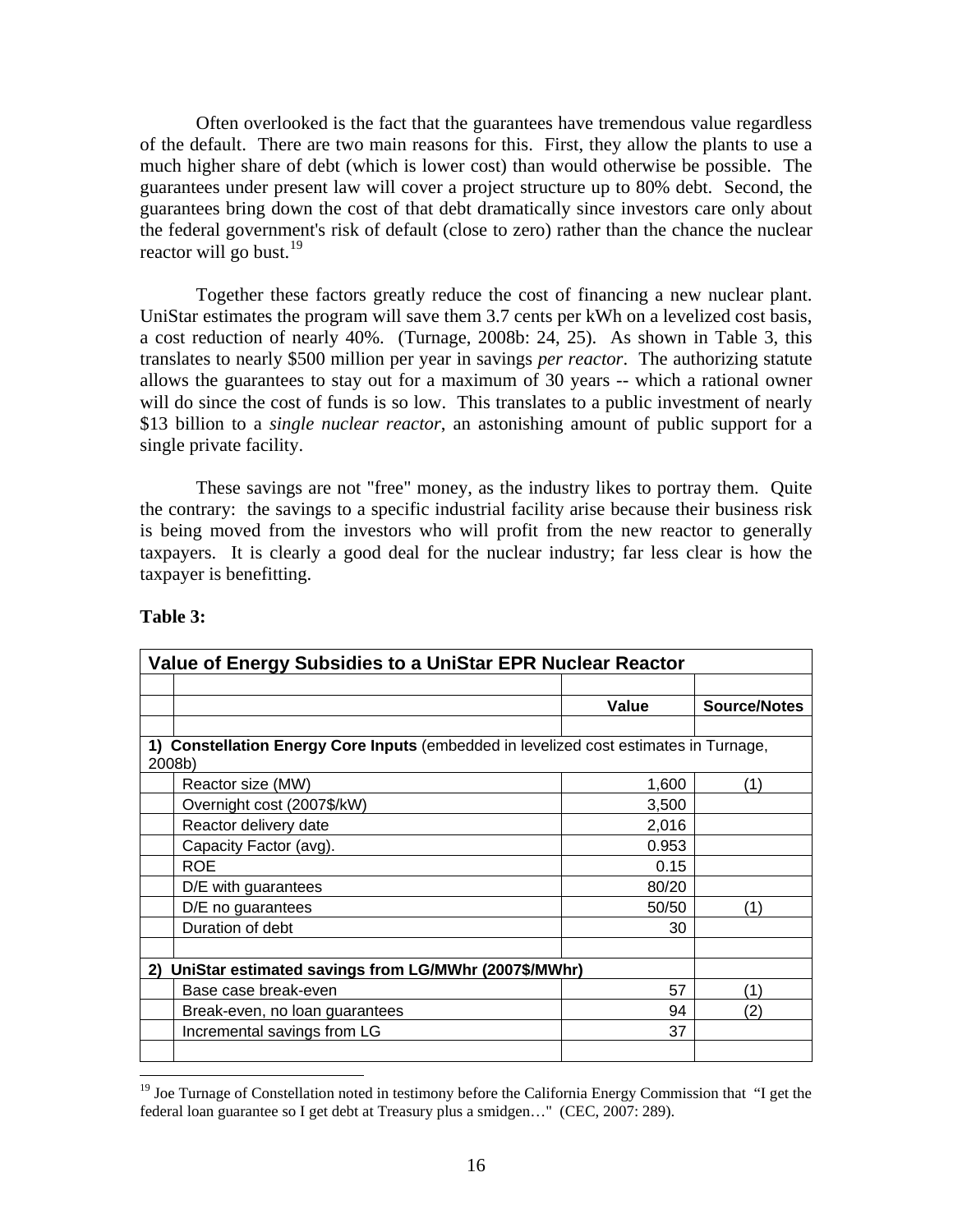<span id="page-15-0"></span>Often overlooked is the fact that the guarantees have tremendous value regardless of the default. There are two main reasons for this. First, they allow the plants to use a much higher share of debt (which is lower cost) than would otherwise be possible. The guarantees under present law will cover a project structure up to 80% debt. Second, the guarantees bring down the cost of that debt dramatically since investors care only about the federal government's risk of default (close to zero) rather than the chance the nuclear reactor will go bust.<sup>[19](#page-15-0)</sup>

Together these factors greatly reduce the cost of financing a new nuclear plant. UniStar estimates the program will save them 3.7 cents per kWh on a levelized cost basis, a cost reduction of nearly 40%. (Turnage, 2008b: 24, 25). As shown in Table 3, this translates to nearly \$500 million per year in savings *per reactor*. The authorizing statute allows the guarantees to stay out for a maximum of 30 years -- which a rational owner will do since the cost of funds is so low. This translates to a public investment of nearly \$13 billion to a *single nuclear reactor*, an astonishing amount of public support for a single private facility.

These savings are not "free" money, as the industry likes to portray them. Quite the contrary: the savings to a specific industrial facility arise because their business risk is being moved from the investors who will profit from the new reactor to generally taxpayers. It is clearly a good deal for the nuclear industry; far less clear is how the taxpayer is benefitting.

| Value of Energy Subsidies to a UniStar EPR Nuclear Reactor |                                                                                       |       |                     |  |  |
|------------------------------------------------------------|---------------------------------------------------------------------------------------|-------|---------------------|--|--|
|                                                            |                                                                                       |       |                     |  |  |
|                                                            |                                                                                       | Value | <b>Source/Notes</b> |  |  |
|                                                            |                                                                                       |       |                     |  |  |
| 2008b)                                                     | 1) Constellation Energy Core Inputs (embedded in levelized cost estimates in Turnage, |       |                     |  |  |
|                                                            | Reactor size (MW)                                                                     | 1,600 | (1)                 |  |  |
|                                                            | Overnight cost (2007\$/kW)                                                            | 3,500 |                     |  |  |
|                                                            | Reactor delivery date                                                                 | 2,016 |                     |  |  |
|                                                            | Capacity Factor (avg).                                                                | 0.953 |                     |  |  |
|                                                            | <b>ROE</b>                                                                            | 0.15  |                     |  |  |
|                                                            | D/E with guarantees                                                                   | 80/20 |                     |  |  |
|                                                            | D/E no guarantees                                                                     | 50/50 | (1)                 |  |  |
|                                                            | Duration of debt                                                                      | 30    |                     |  |  |
| 2)                                                         | UniStar estimated savings from LG/MWhr (2007\$/MWhr)                                  |       |                     |  |  |
|                                                            | Base case break-even                                                                  | 57    | (1)                 |  |  |
|                                                            | Break-even, no loan guarantees                                                        | 94    | (2)                 |  |  |
|                                                            | Incremental savings from LG                                                           | 37    |                     |  |  |
|                                                            |                                                                                       |       |                     |  |  |

#### **Table 3:**

 $\overline{a}$ 

<sup>&</sup>lt;sup>19</sup> Joe Turnage of Constellation noted in testimony before the California Energy Commission that "I get the federal loan guarantee so I get debt at Treasury plus a smidgen…" (CEC, 2007: 289).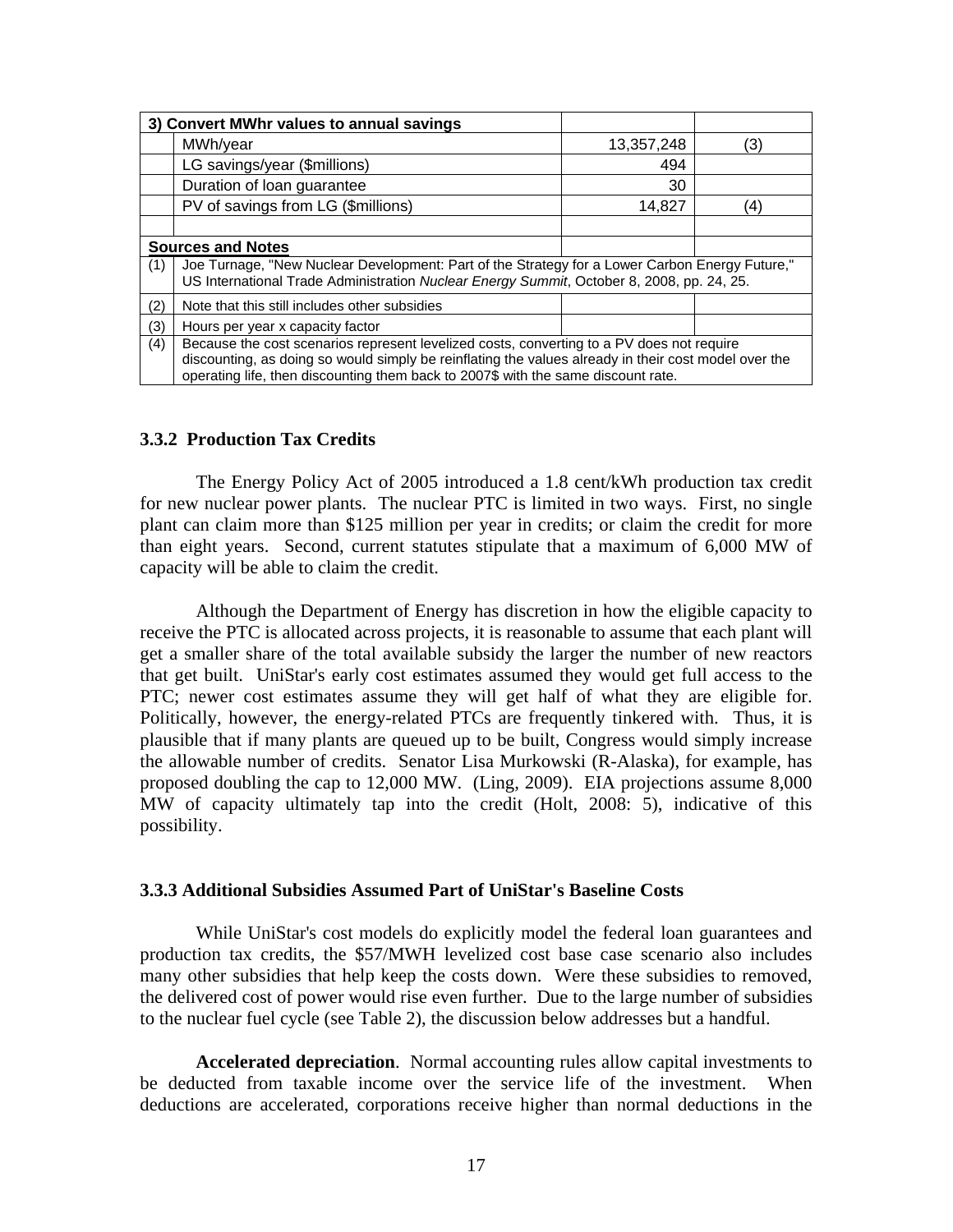|     | 3) Convert MWhr values to annual savings                                                                                                                                                                                                                                               |            |     |  |  |
|-----|----------------------------------------------------------------------------------------------------------------------------------------------------------------------------------------------------------------------------------------------------------------------------------------|------------|-----|--|--|
|     | MWh/year                                                                                                                                                                                                                                                                               | 13,357,248 | (3) |  |  |
|     | LG savings/year (\$millions)                                                                                                                                                                                                                                                           | 494        |     |  |  |
|     | Duration of loan guarantee                                                                                                                                                                                                                                                             | 30         |     |  |  |
|     | PV of savings from LG (\$millions)                                                                                                                                                                                                                                                     | 14,827     | ΄4  |  |  |
|     |                                                                                                                                                                                                                                                                                        |            |     |  |  |
|     | <b>Sources and Notes</b>                                                                                                                                                                                                                                                               |            |     |  |  |
| (1) | "Joe Turnage, "New Nuclear Development: Part of the Strategy for a Lower Carbon Energy Future,<br>US International Trade Administration Nuclear Energy Summit, October 8, 2008, pp. 24, 25.                                                                                            |            |     |  |  |
| (2) | Note that this still includes other subsidies                                                                                                                                                                                                                                          |            |     |  |  |
| (3) | Hours per year x capacity factor                                                                                                                                                                                                                                                       |            |     |  |  |
| (4) | Because the cost scenarios represent levelized costs, converting to a PV does not require<br>discounting, as doing so would simply be reinflating the values already in their cost model over the<br>operating life, then discounting them back to 2007\$ with the same discount rate. |            |     |  |  |

#### **3.3.2 Production Tax Credits**

The Energy Policy Act of 2005 introduced a 1.8 cent/kWh production tax credit for new nuclear power plants. The nuclear PTC is limited in two ways. First, no single plant can claim more than \$125 million per year in credits; or claim the credit for more than eight years. Second, current statutes stipulate that a maximum of 6,000 MW of capacity will be able to claim the credit.

Although the Department of Energy has discretion in how the eligible capacity to receive the PTC is allocated across projects, it is reasonable to assume that each plant will get a smaller share of the total available subsidy the larger the number of new reactors that get built. UniStar's early cost estimates assumed they would get full access to the PTC; newer cost estimates assume they will get half of what they are eligible for. Politically, however, the energy-related PTCs are frequently tinkered with. Thus, it is plausible that if many plants are queued up to be built, Congress would simply increase the allowable number of credits. Senator Lisa Murkowski (R-Alaska), for example, has proposed doubling the cap to 12,000 MW. (Ling, 2009). EIA projections assume 8,000 MW of capacity ultimately tap into the credit (Holt, 2008: 5), indicative of this possibility.

#### **3.3.3 Additional Subsidies Assumed Part of UniStar's Baseline Costs**

While UniStar's cost models do explicitly model the federal loan guarantees and production tax credits, the \$57/MWH levelized cost base case scenario also includes many other subsidies that help keep the costs down. Were these subsidies to removed, the delivered cost of power would rise even further. Due to the large number of subsidies to the nuclear fuel cycle (see Table 2), the discussion below addresses but a handful.

**Accelerated depreciation**. Normal accounting rules allow capital investments to be deducted from taxable income over the service life of the investment. When deductions are accelerated, corporations receive higher than normal deductions in the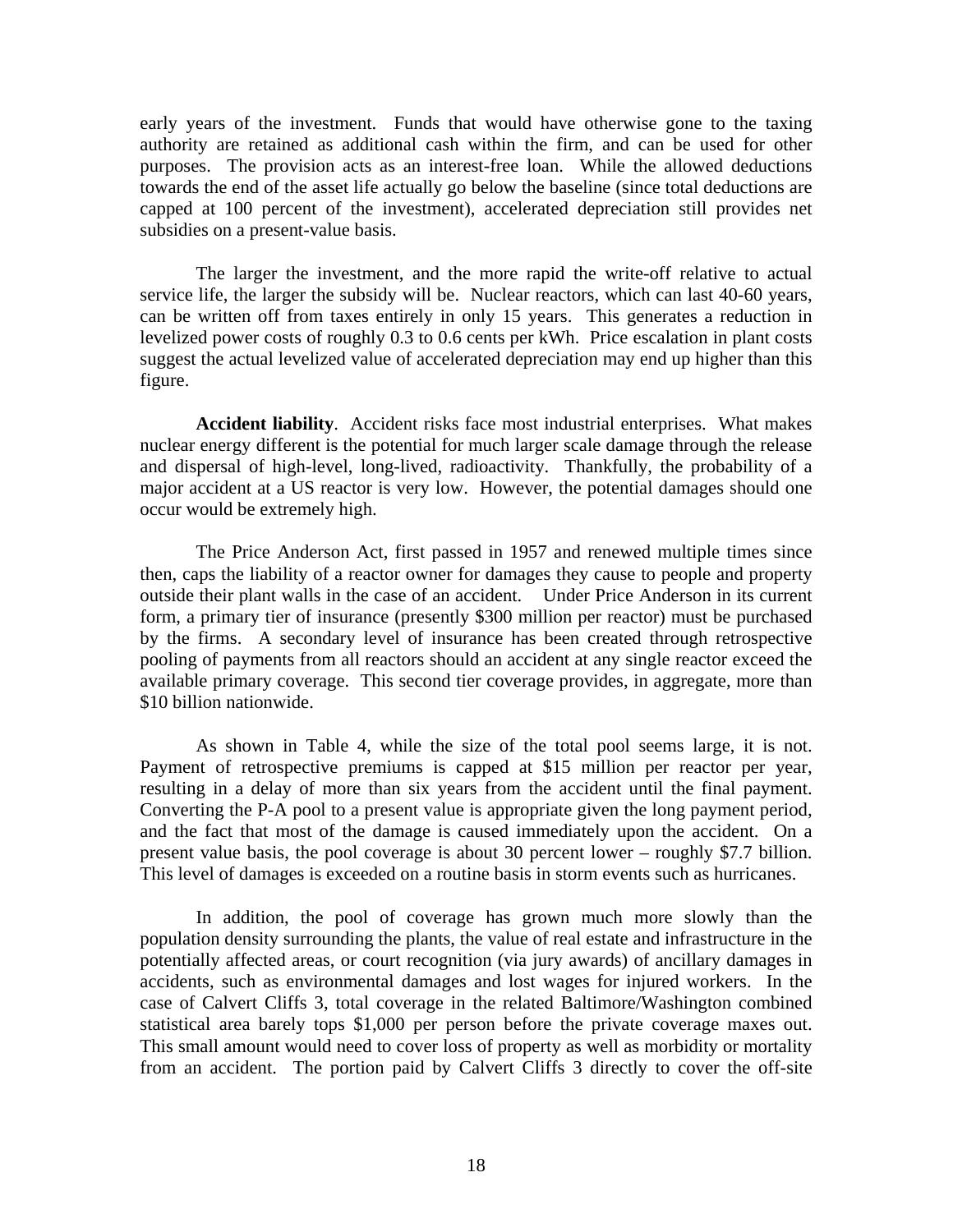early years of the investment. Funds that would have otherwise gone to the taxing authority are retained as additional cash within the firm, and can be used for other purposes. The provision acts as an interest-free loan. While the allowed deductions towards the end of the asset life actually go below the baseline (since total deductions are capped at 100 percent of the investment), accelerated depreciation still provides net subsidies on a present-value basis.

The larger the investment, and the more rapid the write-off relative to actual service life, the larger the subsidy will be. Nuclear reactors, which can last 40-60 years, can be written off from taxes entirely in only 15 years. This generates a reduction in levelized power costs of roughly 0.3 to 0.6 cents per kWh. Price escalation in plant costs suggest the actual levelized value of accelerated depreciation may end up higher than this figure.

**Accident liability**. Accident risks face most industrial enterprises. What makes nuclear energy different is the potential for much larger scale damage through the release and dispersal of high-level, long-lived, radioactivity. Thankfully, the probability of a major accident at a US reactor is very low. However, the potential damages should one occur would be extremely high.

The Price Anderson Act, first passed in 1957 and renewed multiple times since then, caps the liability of a reactor owner for damages they cause to people and property outside their plant walls in the case of an accident. Under Price Anderson in its current form, a primary tier of insurance (presently \$300 million per reactor) must be purchased by the firms. A secondary level of insurance has been created through retrospective pooling of payments from all reactors should an accident at any single reactor exceed the available primary coverage. This second tier coverage provides, in aggregate, more than \$10 billion nationwide.

As shown in Table 4, while the size of the total pool seems large, it is not. Payment of retrospective premiums is capped at \$15 million per reactor per year, resulting in a delay of more than six years from the accident until the final payment. Converting the P-A pool to a present value is appropriate given the long payment period, and the fact that most of the damage is caused immediately upon the accident. On a present value basis, the pool coverage is about 30 percent lower – roughly \$7.7 billion. This level of damages is exceeded on a routine basis in storm events such as hurricanes.

In addition, the pool of coverage has grown much more slowly than the population density surrounding the plants, the value of real estate and infrastructure in the potentially affected areas, or court recognition (via jury awards) of ancillary damages in accidents, such as environmental damages and lost wages for injured workers. In the case of Calvert Cliffs 3, total coverage in the related Baltimore/Washington combined statistical area barely tops \$1,000 per person before the private coverage maxes out. This small amount would need to cover loss of property as well as morbidity or mortality from an accident. The portion paid by Calvert Cliffs 3 directly to cover the off-site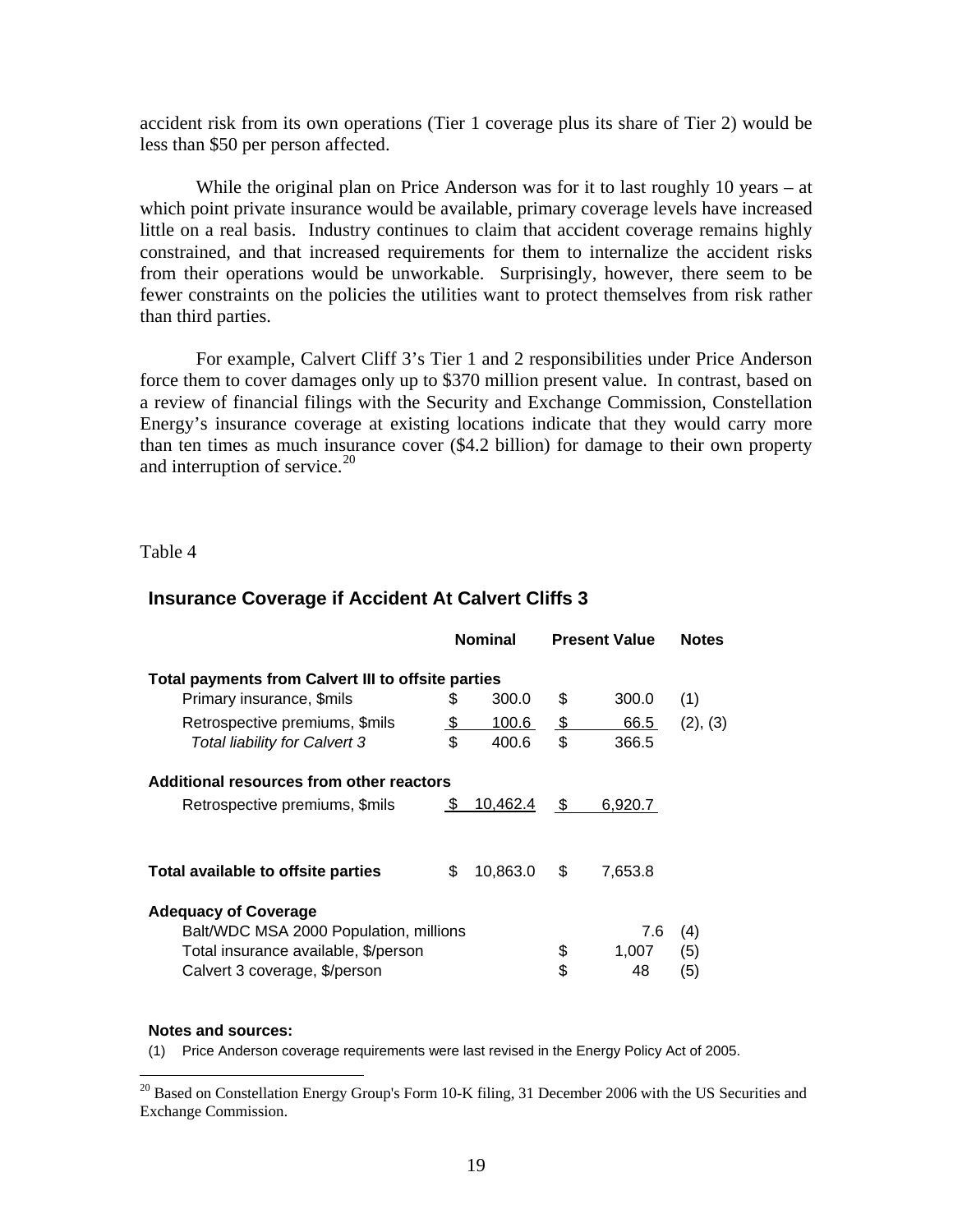<span id="page-18-0"></span>accident risk from its own operations (Tier 1 coverage plus its share of Tier 2) would be less than \$50 per person affected.

While the original plan on Price Anderson was for it to last roughly 10 years – at which point private insurance would be available, primary coverage levels have increased little on a real basis. Industry continues to claim that accident coverage remains highly constrained, and that increased requirements for them to internalize the accident risks from their operations would be unworkable. Surprisingly, however, there seem to be fewer constraints on the policies the utilities want to protect themselves from risk rather than third parties.

For example, Calvert Cliff 3's Tier 1 and 2 responsibilities under Price Anderson force them to cover damages only up to \$370 million present value. In contrast, based on a review of financial filings with the Security and Exchange Commission, Constellation Energy's insurance coverage at existing locations indicate that they would carry more than ten times as much insurance cover (\$4.2 billion) for damage to their own property and interruption of service. $20$ 

Table 4

|                                                    | <b>Nominal</b> |          | <b>Present Value</b> |         | <b>Notes</b> |  |  |
|----------------------------------------------------|----------------|----------|----------------------|---------|--------------|--|--|
| Total payments from Calvert III to offsite parties |                |          |                      |         |              |  |  |
| Primary insurance, \$mils                          | \$             | 300.0    | \$                   | 300.0   | (1)          |  |  |
| Retrospective premiums, \$mils                     | <u>\$</u>      | 100.6    | <u>\$</u>            | 66.5    | (2), (3)     |  |  |
| Total liability for Calvert 3                      | \$             | 400.6    | \$                   | 366.5   |              |  |  |
| Additional resources from other reactors           |                |          |                      |         |              |  |  |
| Retrospective premiums, \$mils                     | \$             | 10,462.4 | $\mathfrak{L}$       | 6,920.7 |              |  |  |
| Total available to offsite parties                 | \$             | 10,863.0 | \$                   | 7,653.8 |              |  |  |
| <b>Adequacy of Coverage</b>                        |                |          |                      |         |              |  |  |
| Balt/WDC MSA 2000 Population, millions             |                |          |                      | 7.6     | (4)          |  |  |
| Total insurance available, \$/person               |                |          | \$                   | 1,007   | (5)          |  |  |
| Calvert 3 coverage, \$/person                      |                |          | \$                   | 48      | 5)           |  |  |

### **Insurance Coverage if Accident At Calvert Cliffs 3**

#### **Notes and sources:**

 $\overline{a}$ 

(1) Price Anderson coverage requirements were last revised in the Energy Policy Act of 2005.

 $20$  Based on Constellation Energy Group's Form 10-K filing, 31 December 2006 with the US Securities and Exchange Commission.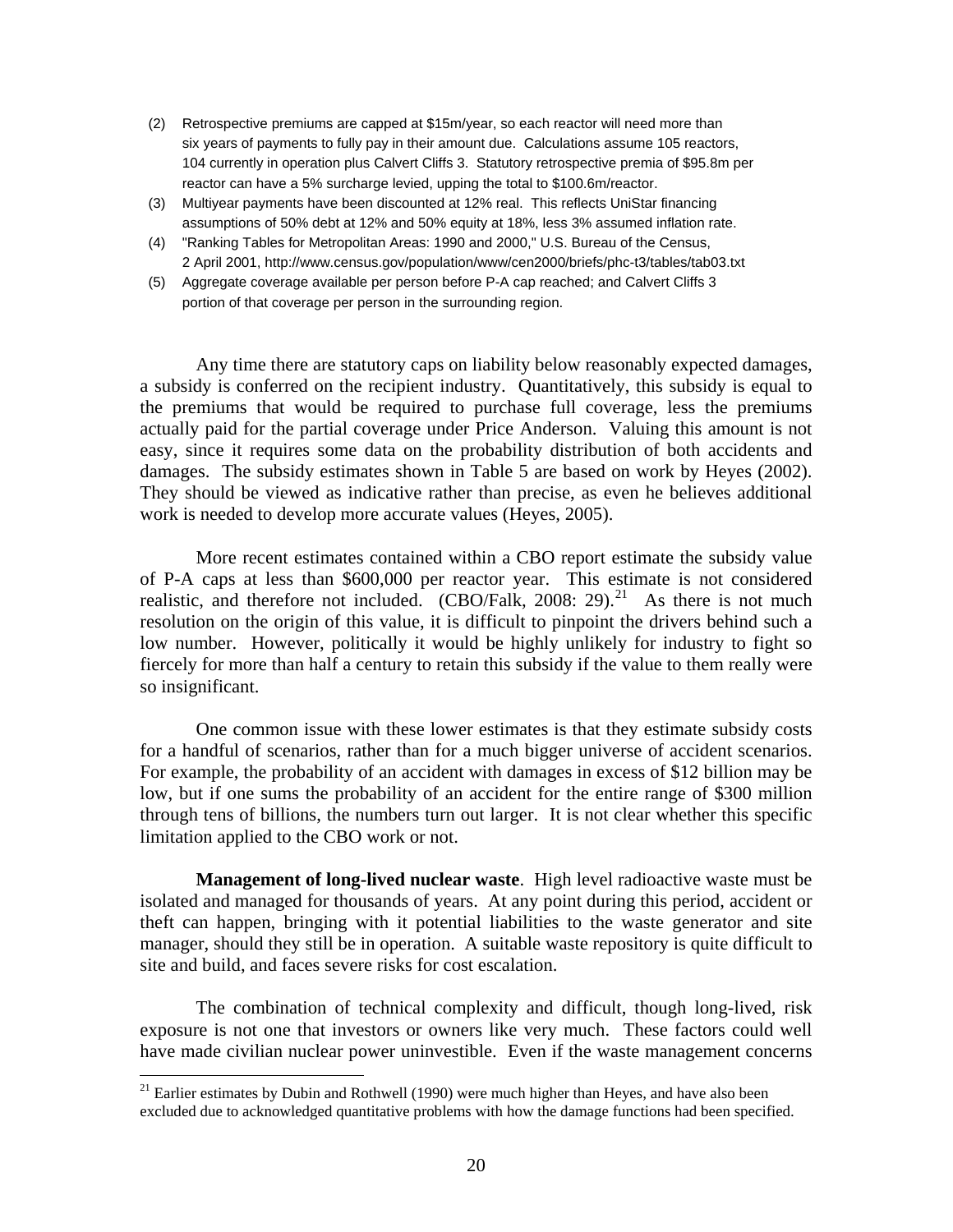- <span id="page-19-0"></span>(2) Retrospective premiums are capped at \$15m/year, so each reactor will need more than six years of payments to fully pay in their amount due. Calculations assume 105 reactors, 104 currently in operation plus Calvert Cliffs 3. Statutory retrospective premia of \$95.8m per reactor can have a 5% surcharge levied, upping the total to \$100.6m/reactor.
- (3) Multiyear payments have been discounted at 12% real. This reflects UniStar financing assumptions of 50% debt at 12% and 50% equity at 18%, less 3% assumed inflation rate.
- (4) "Ranking Tables for Metropolitan Areas: 1990 and 2000," U.S. Bureau of the Census, 2 April 2001, http://www.census.gov/population/www/cen2000/briefs/phc-t3/tables/tab03.txt
- (5) Aggregate coverage available per person before P-A cap reached; and Calvert Cliffs 3 portion of that coverage per person in the surrounding region.

Any time there are statutory caps on liability below reasonably expected damages, a subsidy is conferred on the recipient industry. Quantitatively, this subsidy is equal to the premiums that would be required to purchase full coverage, less the premiums actually paid for the partial coverage under Price Anderson. Valuing this amount is not easy, since it requires some data on the probability distribution of both accidents and damages. The subsidy estimates shown in Table 5 are based on work by Heyes (2002). They should be viewed as indicative rather than precise, as even he believes additional work is needed to develop more accurate values (Heyes, 2005).

More recent estimates contained within a CBO report estimate the subsidy value of P-A caps at less than \$600,000 per reactor year. This estimate is not considered realistic, and therefore not included.  $(CBO/Fallk, 2008: 29).$ <sup>[21](#page-19-0)</sup> As there is not much resolution on the origin of this value, it is difficult to pinpoint the drivers behind such a low number. However, politically it would be highly unlikely for industry to fight so fiercely for more than half a century to retain this subsidy if the value to them really were so insignificant.

One common issue with these lower estimates is that they estimate subsidy costs for a handful of scenarios, rather than for a much bigger universe of accident scenarios. For example, the probability of an accident with damages in excess of \$12 billion may be low, but if one sums the probability of an accident for the entire range of \$300 million through tens of billions, the numbers turn out larger. It is not clear whether this specific limitation applied to the CBO work or not.

**Management of long-lived nuclear waste**. High level radioactive waste must be isolated and managed for thousands of years. At any point during this period, accident or theft can happen, bringing with it potential liabilities to the waste generator and site manager, should they still be in operation. A suitable waste repository is quite difficult to site and build, and faces severe risks for cost escalation.

The combination of technical complexity and difficult, though long-lived, risk exposure is not one that investors or owners like very much. These factors could well have made civilian nuclear power uninvestible. Even if the waste management concerns

 $\overline{a}$ 

 $21$  Earlier estimates by Dubin and Rothwell (1990) were much higher than Heyes, and have also been excluded due to acknowledged quantitative problems with how the damage functions had been specified.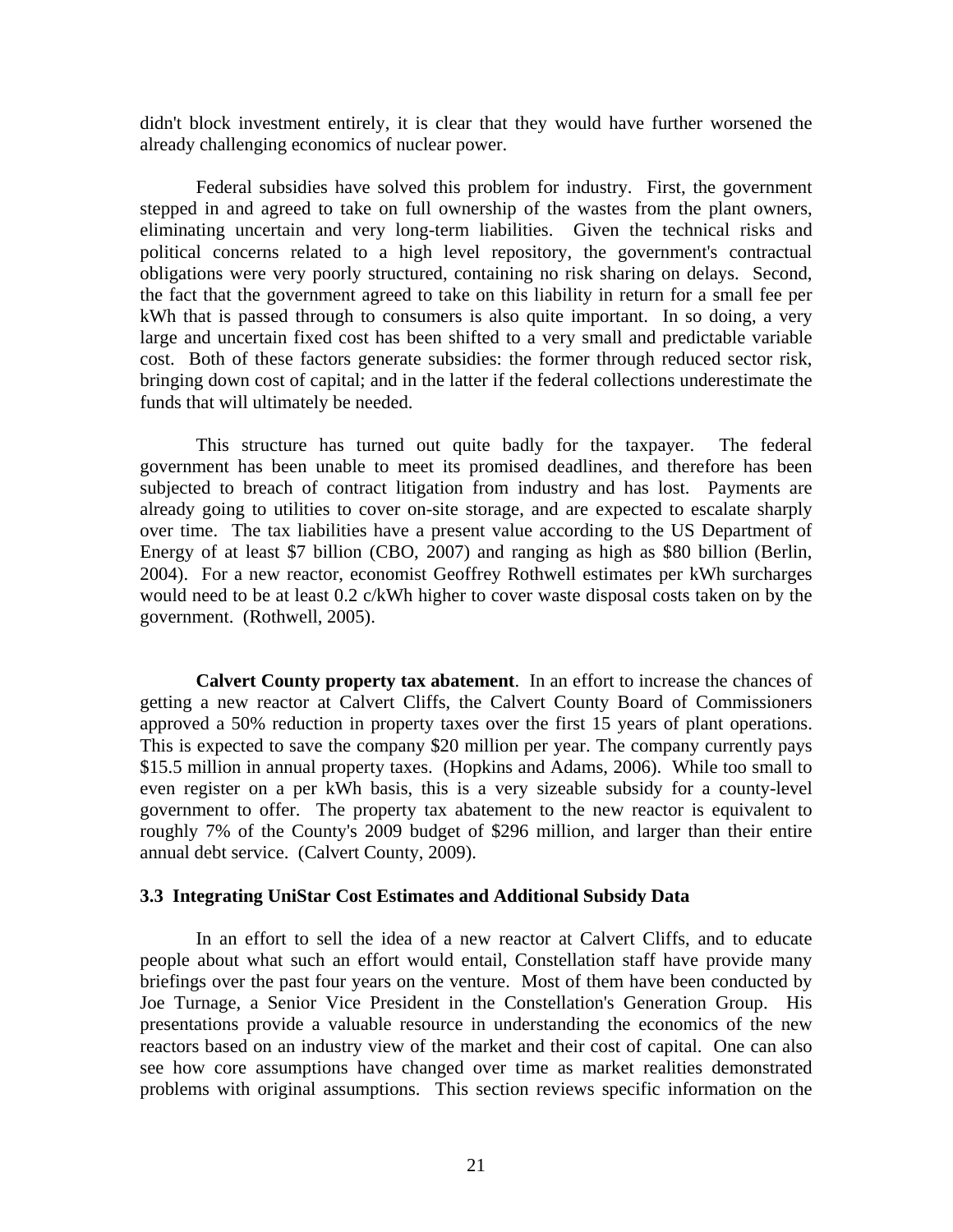didn't block investment entirely, it is clear that they would have further worsened the already challenging economics of nuclear power.

Federal subsidies have solved this problem for industry. First, the government stepped in and agreed to take on full ownership of the wastes from the plant owners, eliminating uncertain and very long-term liabilities. Given the technical risks and political concerns related to a high level repository, the government's contractual obligations were very poorly structured, containing no risk sharing on delays. Second, the fact that the government agreed to take on this liability in return for a small fee per kWh that is passed through to consumers is also quite important. In so doing, a very large and uncertain fixed cost has been shifted to a very small and predictable variable cost. Both of these factors generate subsidies: the former through reduced sector risk, bringing down cost of capital; and in the latter if the federal collections underestimate the funds that will ultimately be needed.

This structure has turned out quite badly for the taxpayer. The federal government has been unable to meet its promised deadlines, and therefore has been subjected to breach of contract litigation from industry and has lost. Payments are already going to utilities to cover on-site storage, and are expected to escalate sharply over time. The tax liabilities have a present value according to the US Department of Energy of at least \$7 billion (CBO, 2007) and ranging as high as \$80 billion (Berlin, 2004). For a new reactor, economist Geoffrey Rothwell estimates per kWh surcharges would need to be at least 0.2 c/kWh higher to cover waste disposal costs taken on by the government. (Rothwell, 2005).

**Calvert County property tax abatement**. In an effort to increase the chances of getting a new reactor at Calvert Cliffs, the Calvert County Board of Commissioners approved a 50% reduction in property taxes over the first 15 years of plant operations. This is expected to save the company \$20 million per year. The company currently pays \$15.5 million in annual property taxes. (Hopkins and Adams, 2006). While too small to even register on a per kWh basis, this is a very sizeable subsidy for a county-level government to offer. The property tax abatement to the new reactor is equivalent to roughly 7% of the County's 2009 budget of \$296 million, and larger than their entire annual debt service. (Calvert County, 2009).

#### **3.3 Integrating UniStar Cost Estimates and Additional Subsidy Data**

 In an effort to sell the idea of a new reactor at Calvert Cliffs, and to educate people about what such an effort would entail, Constellation staff have provide many briefings over the past four years on the venture. Most of them have been conducted by Joe Turnage, a Senior Vice President in the Constellation's Generation Group. His presentations provide a valuable resource in understanding the economics of the new reactors based on an industry view of the market and their cost of capital. One can also see how core assumptions have changed over time as market realities demonstrated problems with original assumptions. This section reviews specific information on the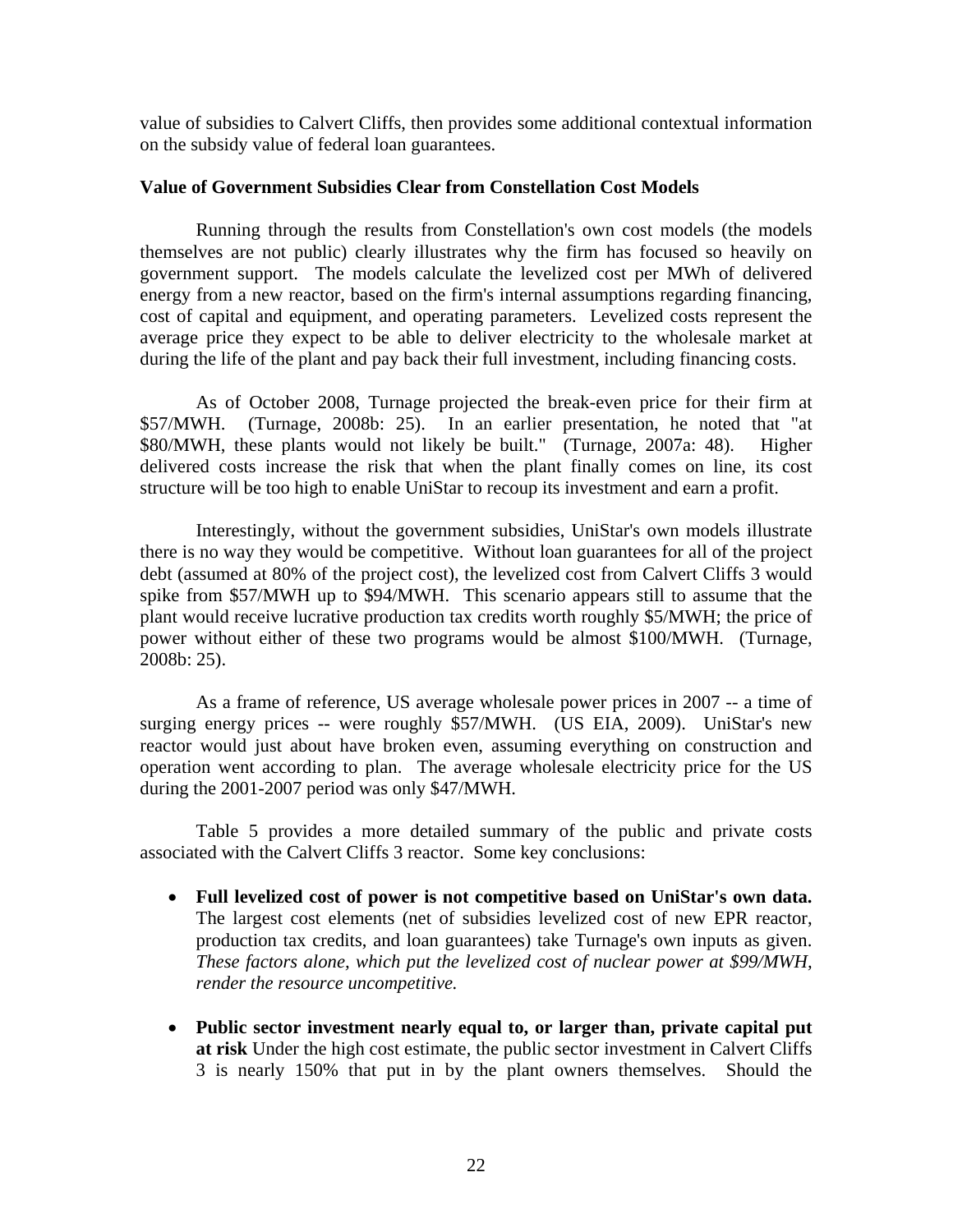value of subsidies to Calvert Cliffs, then provides some additional contextual information on the subsidy value of federal loan guarantees.

### **Value of Government Subsidies Clear from Constellation Cost Models**

 Running through the results from Constellation's own cost models (the models themselves are not public) clearly illustrates why the firm has focused so heavily on government support. The models calculate the levelized cost per MWh of delivered energy from a new reactor, based on the firm's internal assumptions regarding financing, cost of capital and equipment, and operating parameters. Levelized costs represent the average price they expect to be able to deliver electricity to the wholesale market at during the life of the plant and pay back their full investment, including financing costs.

 As of October 2008, Turnage projected the break-even price for their firm at \$57/MWH. (Turnage, 2008b: 25). In an earlier presentation, he noted that "at \$80/MWH, these plants would not likely be built." (Turnage, 2007a: 48). Higher delivered costs increase the risk that when the plant finally comes on line, its cost structure will be too high to enable UniStar to recoup its investment and earn a profit.

Interestingly, without the government subsidies, UniStar's own models illustrate there is no way they would be competitive. Without loan guarantees for all of the project debt (assumed at 80% of the project cost), the levelized cost from Calvert Cliffs 3 would spike from \$57/MWH up to \$94/MWH. This scenario appears still to assume that the plant would receive lucrative production tax credits worth roughly \$5/MWH; the price of power without either of these two programs would be almost \$100/MWH. (Turnage, 2008b: 25).

As a frame of reference, US average wholesale power prices in 2007 -- a time of surging energy prices -- were roughly \$57/MWH. (US EIA, 2009). UniStar's new reactor would just about have broken even, assuming everything on construction and operation went according to plan. The average wholesale electricity price for the US during the 2001-2007 period was only \$47/MWH.

Table 5 provides a more detailed summary of the public and private costs associated with the Calvert Cliffs 3 reactor. Some key conclusions:

- **Full levelized cost of power is not competitive based on UniStar's own data.**  The largest cost elements (net of subsidies levelized cost of new EPR reactor, production tax credits, and loan guarantees) take Turnage's own inputs as given. *These factors alone, which put the levelized cost of nuclear power at \$99/MWH, render the resource uncompetitive.*
- **Public sector investment nearly equal to, or larger than, private capital put at risk** Under the high cost estimate, the public sector investment in Calvert Cliffs 3 is nearly 150% that put in by the plant owners themselves. Should the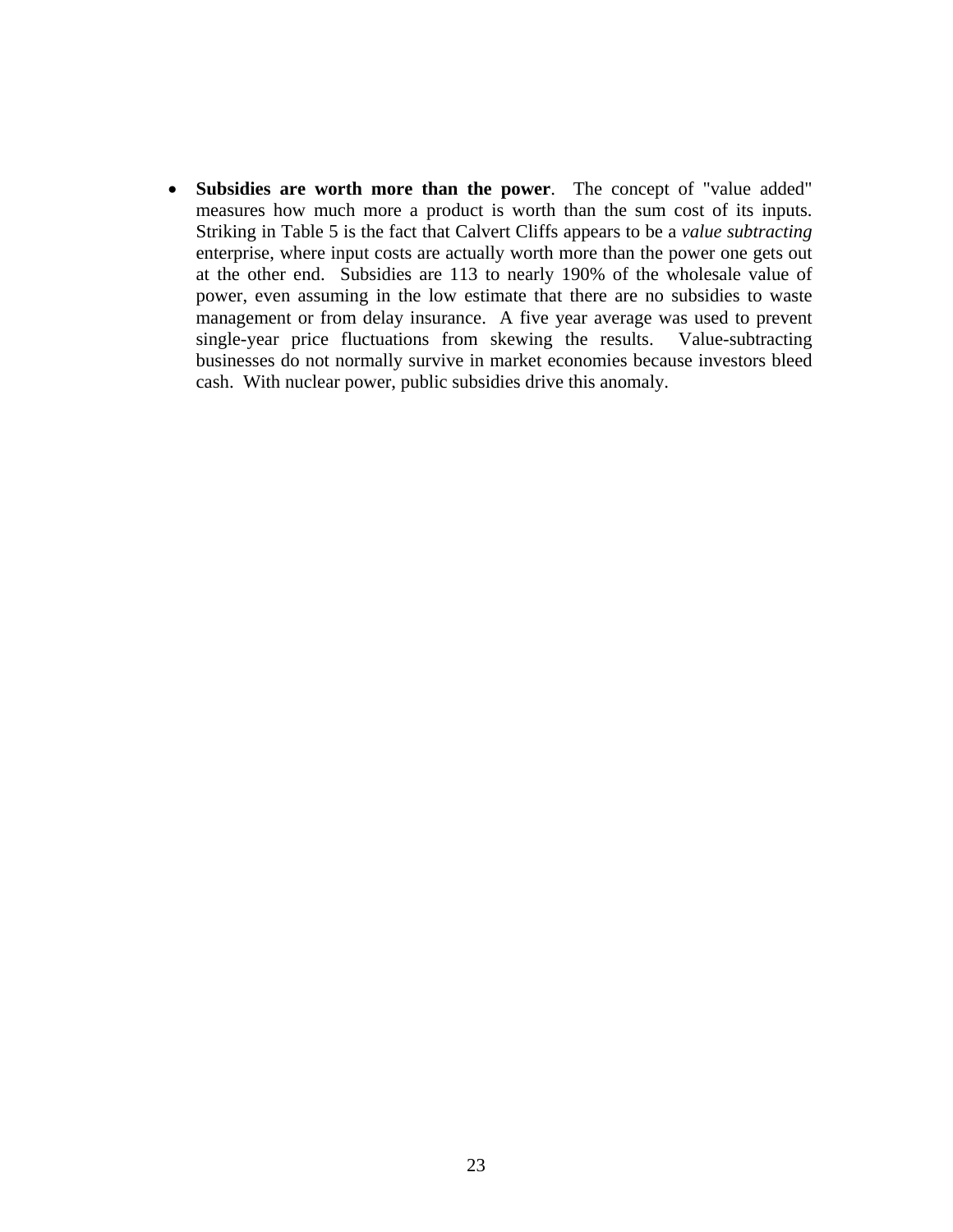• **Subsidies are worth more than the power**. The concept of "value added" measures how much more a product is worth than the sum cost of its inputs. Striking in Table 5 is the fact that Calvert Cliffs appears to be a *value subtracting* enterprise, where input costs are actually worth more than the power one gets out at the other end. Subsidies are 113 to nearly 190% of the wholesale value of power, even assuming in the low estimate that there are no subsidies to waste management or from delay insurance. A five year average was used to prevent single-year price fluctuations from skewing the results. Value-subtracting businesses do not normally survive in market economies because investors bleed cash. With nuclear power, public subsidies drive this anomaly.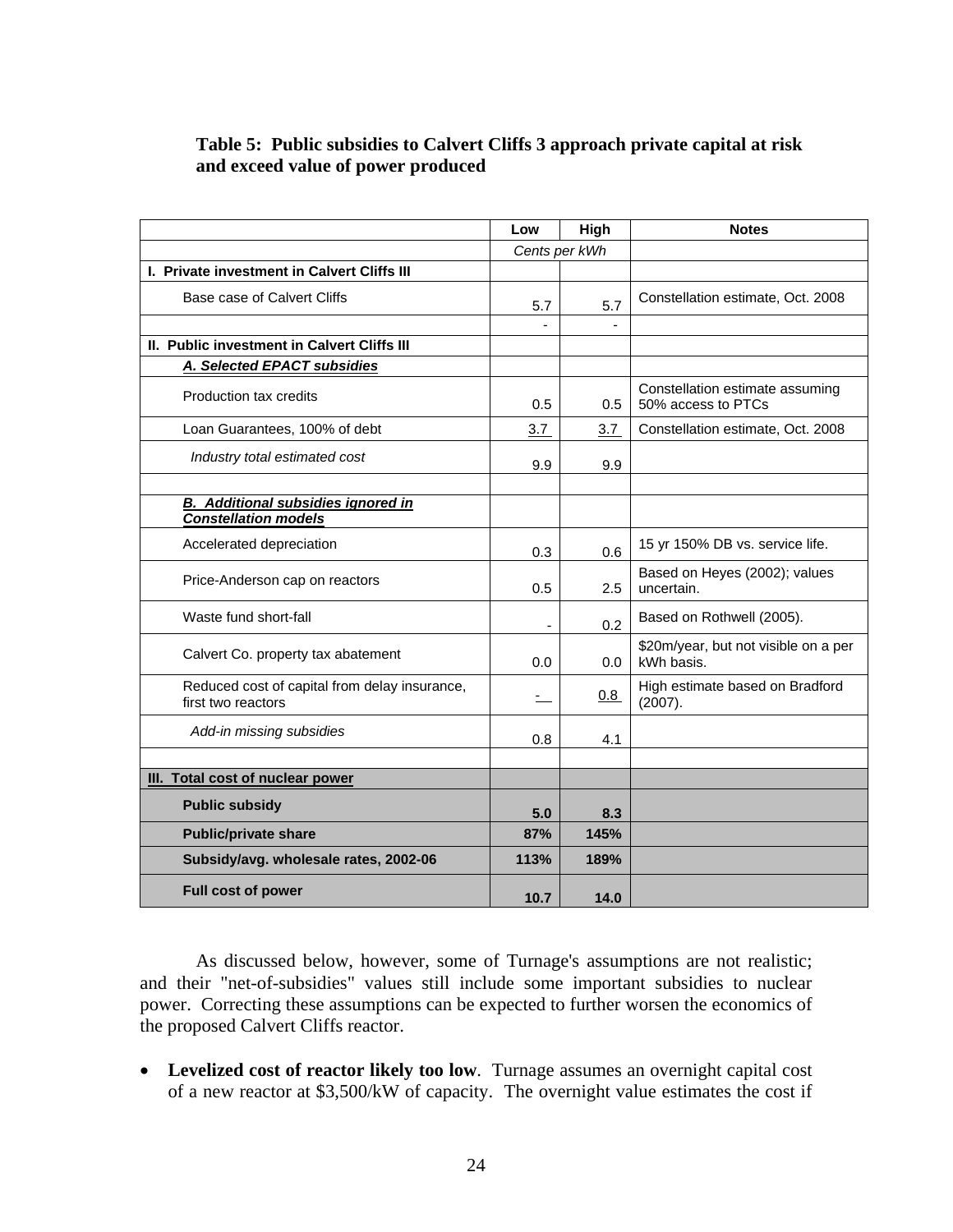|                                                                          | Low           | High | <b>Notes</b>                                          |
|--------------------------------------------------------------------------|---------------|------|-------------------------------------------------------|
|                                                                          | Cents per kWh |      |                                                       |
| I. Private investment in Calvert Cliffs III                              |               |      |                                                       |
| Base case of Calvert Cliffs                                              | 5.7           | 5.7  | Constellation estimate, Oct. 2008                     |
|                                                                          |               |      |                                                       |
| II. Public investment in Calvert Cliffs III                              |               |      |                                                       |
| A. Selected EPACT subsidies                                              |               |      |                                                       |
| Production tax credits                                                   | 0.5           | 0.5  | Constellation estimate assuming<br>50% access to PTCs |
| Loan Guarantees, 100% of debt                                            | 3.7           | 3.7  | Constellation estimate, Oct. 2008                     |
| Industry total estimated cost                                            | 9.9           | 9.9  |                                                       |
|                                                                          |               |      |                                                       |
| <b>B.</b> Additional subsidies ignored in<br><b>Constellation models</b> |               |      |                                                       |
| Accelerated depreciation                                                 | 0.3           | 0.6  | 15 yr 150% DB vs. service life.                       |
| Price-Anderson cap on reactors                                           | 0.5           | 2.5  | Based on Heyes (2002); values<br>uncertain.           |
| Waste fund short-fall                                                    | ٠             | 0.2  | Based on Rothwell (2005).                             |
| Calvert Co. property tax abatement                                       | 0.0           | 0.0  | \$20m/year, but not visible on a per<br>kWh basis.    |
| Reduced cost of capital from delay insurance,<br>first two reactors      |               | 0.8  | High estimate based on Bradford<br>(2007).            |
| Add-in missing subsidies                                                 | 0.8           | 4.1  |                                                       |
|                                                                          |               |      |                                                       |
| III. Total cost of nuclear power                                         |               |      |                                                       |
| <b>Public subsidy</b>                                                    | 5.0           | 8.3  |                                                       |
| <b>Public/private share</b>                                              | 87%           | 145% |                                                       |
| Subsidy/avg. wholesale rates, 2002-06                                    | 113%          | 189% |                                                       |
| <b>Full cost of power</b>                                                | 10.7          | 14.0 |                                                       |

## **Table 5: Public subsidies to Calvert Cliffs 3 approach private capital at risk and exceed value of power produced**

As discussed below, however, some of Turnage's assumptions are not realistic; and their "net-of-subsidies" values still include some important subsidies to nuclear power. Correcting these assumptions can be expected to further worsen the economics of the proposed Calvert Cliffs reactor.

• **Levelized cost of reactor likely too low**. Turnage assumes an overnight capital cost of a new reactor at \$3,500/kW of capacity. The overnight value estimates the cost if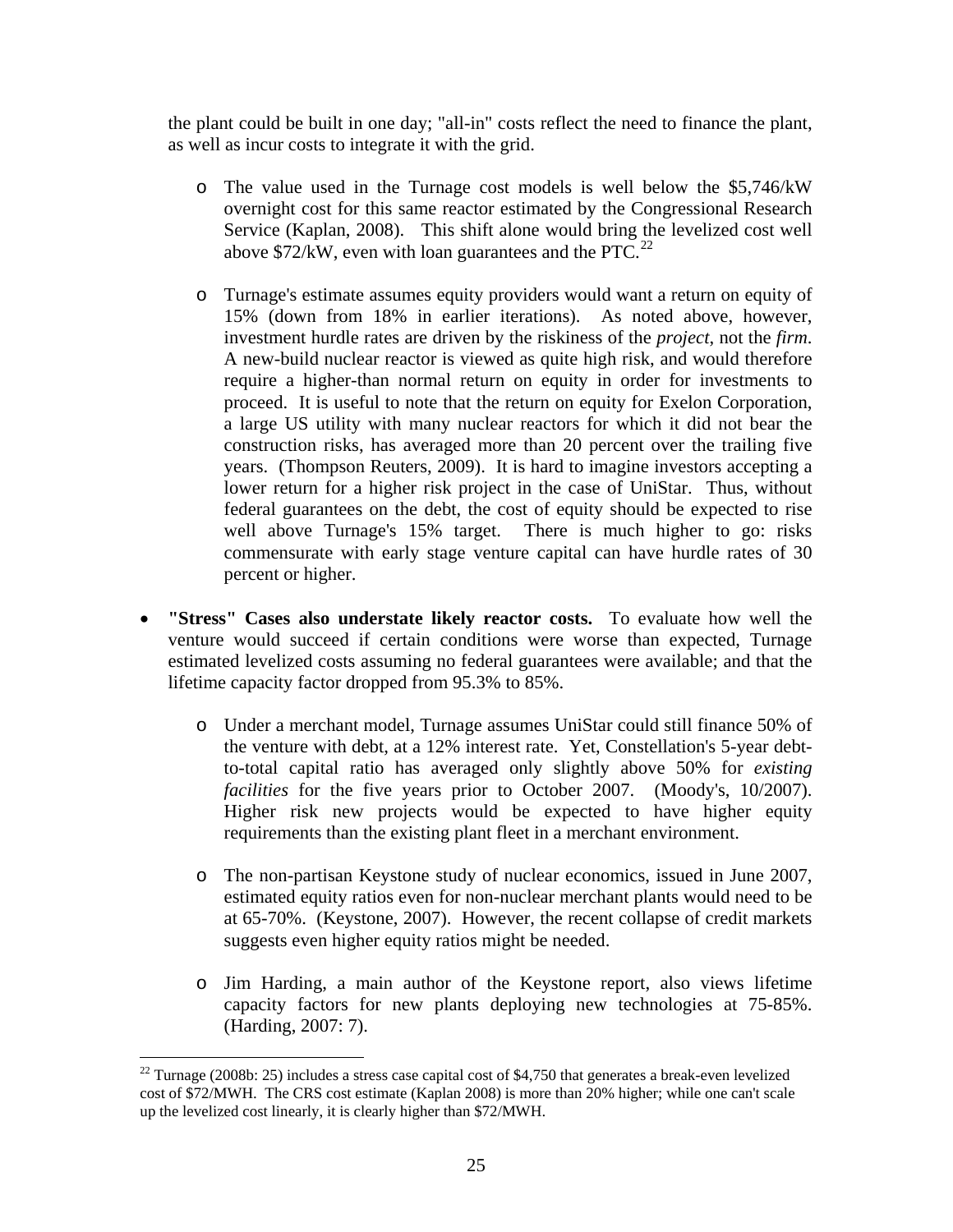<span id="page-24-0"></span>the plant could be built in one day; "all-in" costs reflect the need to finance the plant, as well as incur costs to integrate it with the grid.

- o The value used in the Turnage cost models is well below the \$5,746/kW overnight cost for this same reactor estimated by the Congressional Research Service (Kaplan, 2008). This shift alone would bring the levelized cost well above  $$72/kW$ , even with loan guarantees and the PTC.<sup>[22](#page-24-0)</sup>
- o Turnage's estimate assumes equity providers would want a return on equity of 15% (down from 18% in earlier iterations). As noted above, however, investment hurdle rates are driven by the riskiness of the *project*, not the *firm*. A new-build nuclear reactor is viewed as quite high risk, and would therefore require a higher-than normal return on equity in order for investments to proceed. It is useful to note that the return on equity for Exelon Corporation, a large US utility with many nuclear reactors for which it did not bear the construction risks, has averaged more than 20 percent over the trailing five years. (Thompson Reuters, 2009). It is hard to imagine investors accepting a lower return for a higher risk project in the case of UniStar. Thus, without federal guarantees on the debt, the cost of equity should be expected to rise well above Turnage's 15% target. There is much higher to go: risks commensurate with early stage venture capital can have hurdle rates of 30 percent or higher.
- **"Stress" Cases also understate likely reactor costs.** To evaluate how well the venture would succeed if certain conditions were worse than expected, Turnage estimated levelized costs assuming no federal guarantees were available; and that the lifetime capacity factor dropped from 95.3% to 85%.
	- o Under a merchant model, Turnage assumes UniStar could still finance 50% of the venture with debt, at a 12% interest rate. Yet, Constellation's 5-year debtto-total capital ratio has averaged only slightly above 50% for *existing facilities* for the five years prior to October 2007. (Moody's, 10/2007). Higher risk new projects would be expected to have higher equity requirements than the existing plant fleet in a merchant environment.
	- o The non-partisan Keystone study of nuclear economics, issued in June 2007, estimated equity ratios even for non-nuclear merchant plants would need to be at 65-70%. (Keystone, 2007). However, the recent collapse of credit markets suggests even higher equity ratios might be needed.
	- o Jim Harding, a main author of the Keystone report, also views lifetime capacity factors for new plants deploying new technologies at 75-85%. (Harding, 2007: 7).

 $\overline{a}$  $22$  Turnage (2008b: 25) includes a stress case capital cost of \$4,750 that generates a break-even levelized cost of \$72/MWH. The CRS cost estimate (Kaplan 2008) is more than 20% higher; while one can't scale up the levelized cost linearly, it is clearly higher than \$72/MWH.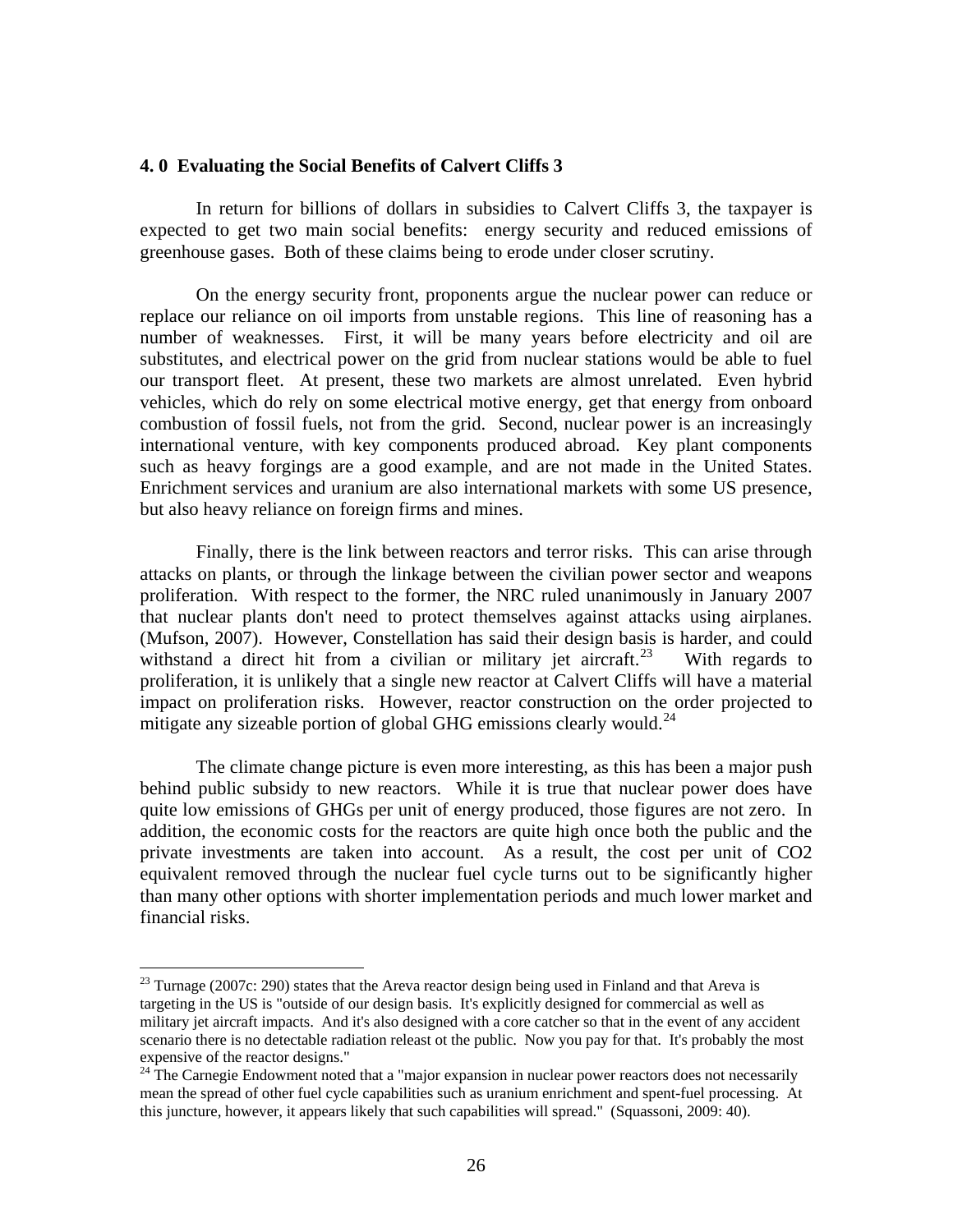#### <span id="page-25-0"></span>**4. 0 Evaluating the Social Benefits of Calvert Cliffs 3**

 In return for billions of dollars in subsidies to Calvert Cliffs 3, the taxpayer is expected to get two main social benefits: energy security and reduced emissions of greenhouse gases. Both of these claims being to erode under closer scrutiny.

 On the energy security front, proponents argue the nuclear power can reduce or replace our reliance on oil imports from unstable regions. This line of reasoning has a number of weaknesses. First, it will be many years before electricity and oil are substitutes, and electrical power on the grid from nuclear stations would be able to fuel our transport fleet. At present, these two markets are almost unrelated. Even hybrid vehicles, which do rely on some electrical motive energy, get that energy from onboard combustion of fossil fuels, not from the grid. Second, nuclear power is an increasingly international venture, with key components produced abroad. Key plant components such as heavy forgings are a good example, and are not made in the United States. Enrichment services and uranium are also international markets with some US presence, but also heavy reliance on foreign firms and mines.

Finally, there is the link between reactors and terror risks. This can arise through attacks on plants, or through the linkage between the civilian power sector and weapons proliferation. With respect to the former, the NRC ruled unanimously in January 2007 that nuclear plants don't need to protect themselves against attacks using airplanes. (Mufson, 2007). However, Constellation has said their design basis is harder, and could withstand a direct hit from a civilian or military jet aircraft.<sup>[23](#page-25-0)</sup> With regards to proliferation, it is unlikely that a single new reactor at Calvert Cliffs will have a material impact on proliferation risks. However, reactor construction on the order projected to mitigate any sizeable portion of global GHG emissions clearly would.<sup>[24](#page-25-0)</sup>

The climate change picture is even more interesting, as this has been a major push behind public subsidy to new reactors. While it is true that nuclear power does have quite low emissions of GHGs per unit of energy produced, those figures are not zero. In addition, the economic costs for the reactors are quite high once both the public and the private investments are taken into account. As a result, the cost per unit of CO2 equivalent removed through the nuclear fuel cycle turns out to be significantly higher than many other options with shorter implementation periods and much lower market and financial risks.

 $\overline{a}$ 

 $23$  Turnage (2007c: 290) states that the Areva reactor design being used in Finland and that Areva is targeting in the US is "outside of our design basis. It's explicitly designed for commercial as well as military jet aircraft impacts. And it's also designed with a core catcher so that in the event of any accident scenario there is no detectable radiation releast ot the public. Now you pay for that. It's probably the most expensive of the reactor designs."

 $24$  The Carnegie Endowment noted that a "major expansion in nuclear power reactors does not necessarily mean the spread of other fuel cycle capabilities such as uranium enrichment and spent-fuel processing. At this juncture, however, it appears likely that such capabilities will spread." (Squassoni, 2009: 40).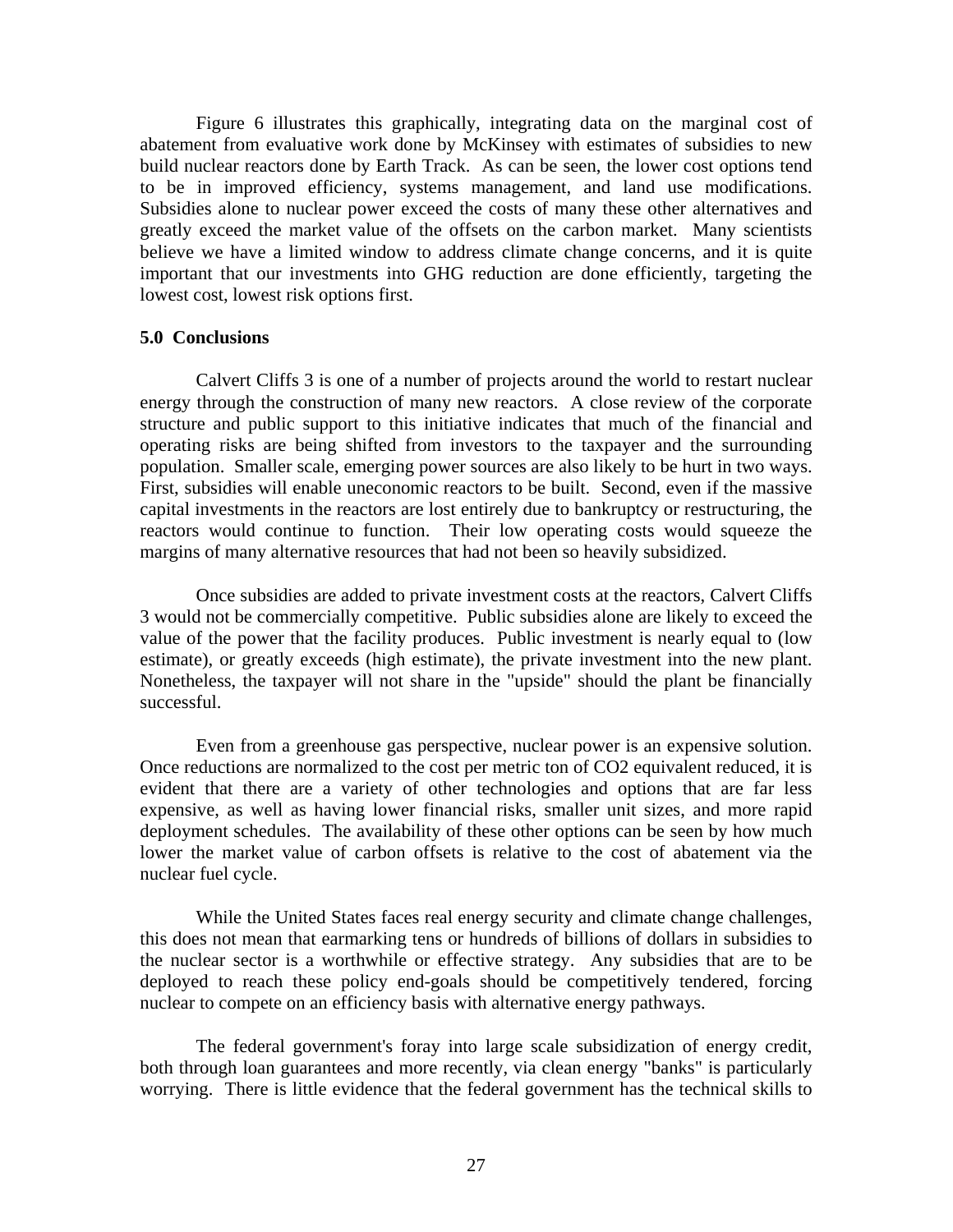Figure 6 illustrates this graphically, integrating data on the marginal cost of abatement from evaluative work done by McKinsey with estimates of subsidies to new build nuclear reactors done by Earth Track. As can be seen, the lower cost options tend to be in improved efficiency, systems management, and land use modifications. Subsidies alone to nuclear power exceed the costs of many these other alternatives and greatly exceed the market value of the offsets on the carbon market. Many scientists believe we have a limited window to address climate change concerns, and it is quite important that our investments into GHG reduction are done efficiently, targeting the lowest cost, lowest risk options first.

#### **5.0 Conclusions**

 Calvert Cliffs 3 is one of a number of projects around the world to restart nuclear energy through the construction of many new reactors. A close review of the corporate structure and public support to this initiative indicates that much of the financial and operating risks are being shifted from investors to the taxpayer and the surrounding population. Smaller scale, emerging power sources are also likely to be hurt in two ways. First, subsidies will enable uneconomic reactors to be built. Second, even if the massive capital investments in the reactors are lost entirely due to bankruptcy or restructuring, the reactors would continue to function. Their low operating costs would squeeze the margins of many alternative resources that had not been so heavily subsidized.

Once subsidies are added to private investment costs at the reactors, Calvert Cliffs 3 would not be commercially competitive. Public subsidies alone are likely to exceed the value of the power that the facility produces. Public investment is nearly equal to (low estimate), or greatly exceeds (high estimate), the private investment into the new plant. Nonetheless, the taxpayer will not share in the "upside" should the plant be financially successful.

Even from a greenhouse gas perspective, nuclear power is an expensive solution. Once reductions are normalized to the cost per metric ton of CO2 equivalent reduced, it is evident that there are a variety of other technologies and options that are far less expensive, as well as having lower financial risks, smaller unit sizes, and more rapid deployment schedules. The availability of these other options can be seen by how much lower the market value of carbon offsets is relative to the cost of abatement via the nuclear fuel cycle.

While the United States faces real energy security and climate change challenges, this does not mean that earmarking tens or hundreds of billions of dollars in subsidies to the nuclear sector is a worthwhile or effective strategy. Any subsidies that are to be deployed to reach these policy end-goals should be competitively tendered, forcing nuclear to compete on an efficiency basis with alternative energy pathways.

The federal government's foray into large scale subsidization of energy credit, both through loan guarantees and more recently, via clean energy "banks" is particularly worrying. There is little evidence that the federal government has the technical skills to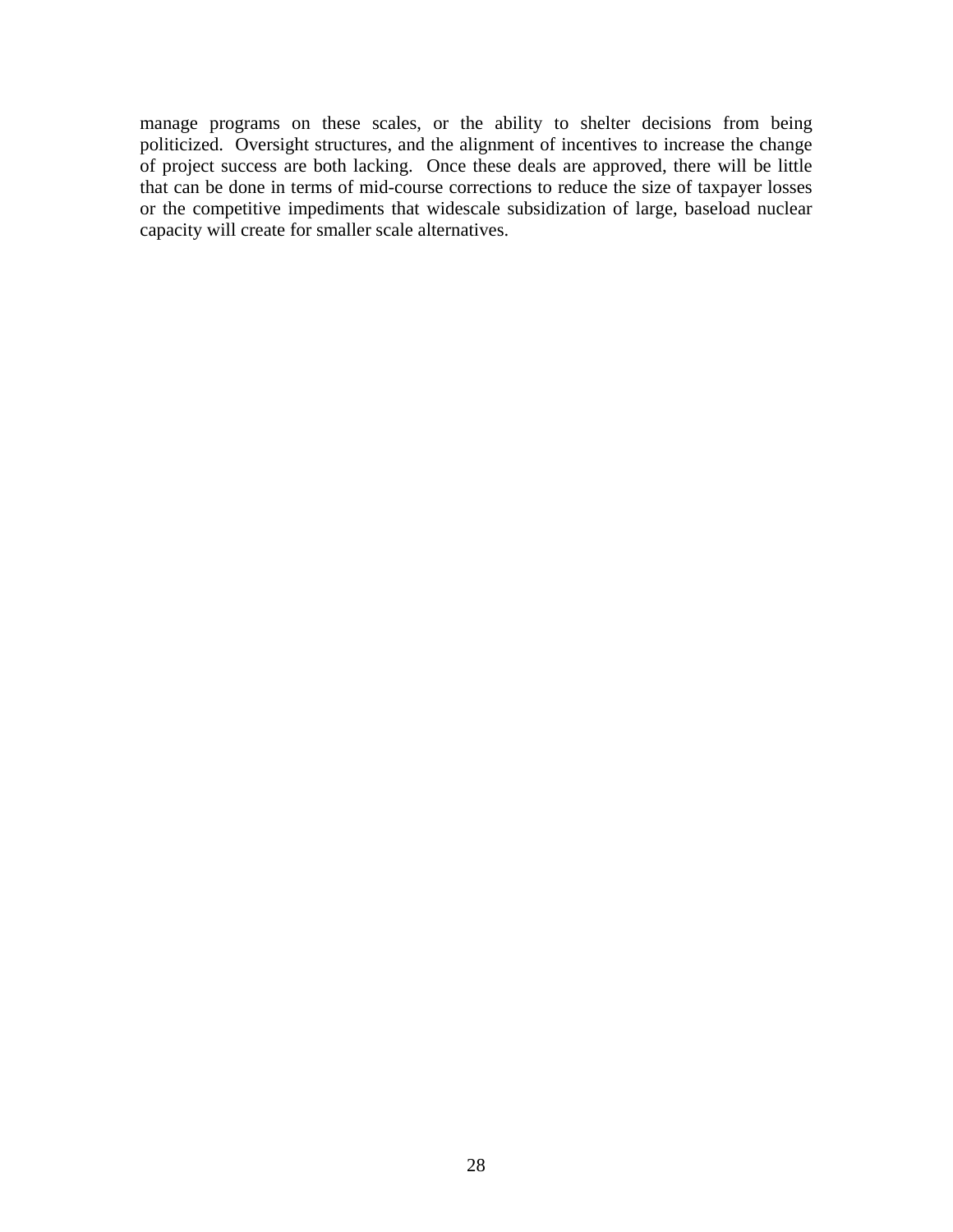manage programs on these scales, or the ability to shelter decisions from being politicized. Oversight structures, and the alignment of incentives to increase the change of project success are both lacking. Once these deals are approved, there will be little that can be done in terms of mid-course corrections to reduce the size of taxpayer losses or the competitive impediments that widescale subsidization of large, baseload nuclear capacity will create for smaller scale alternatives.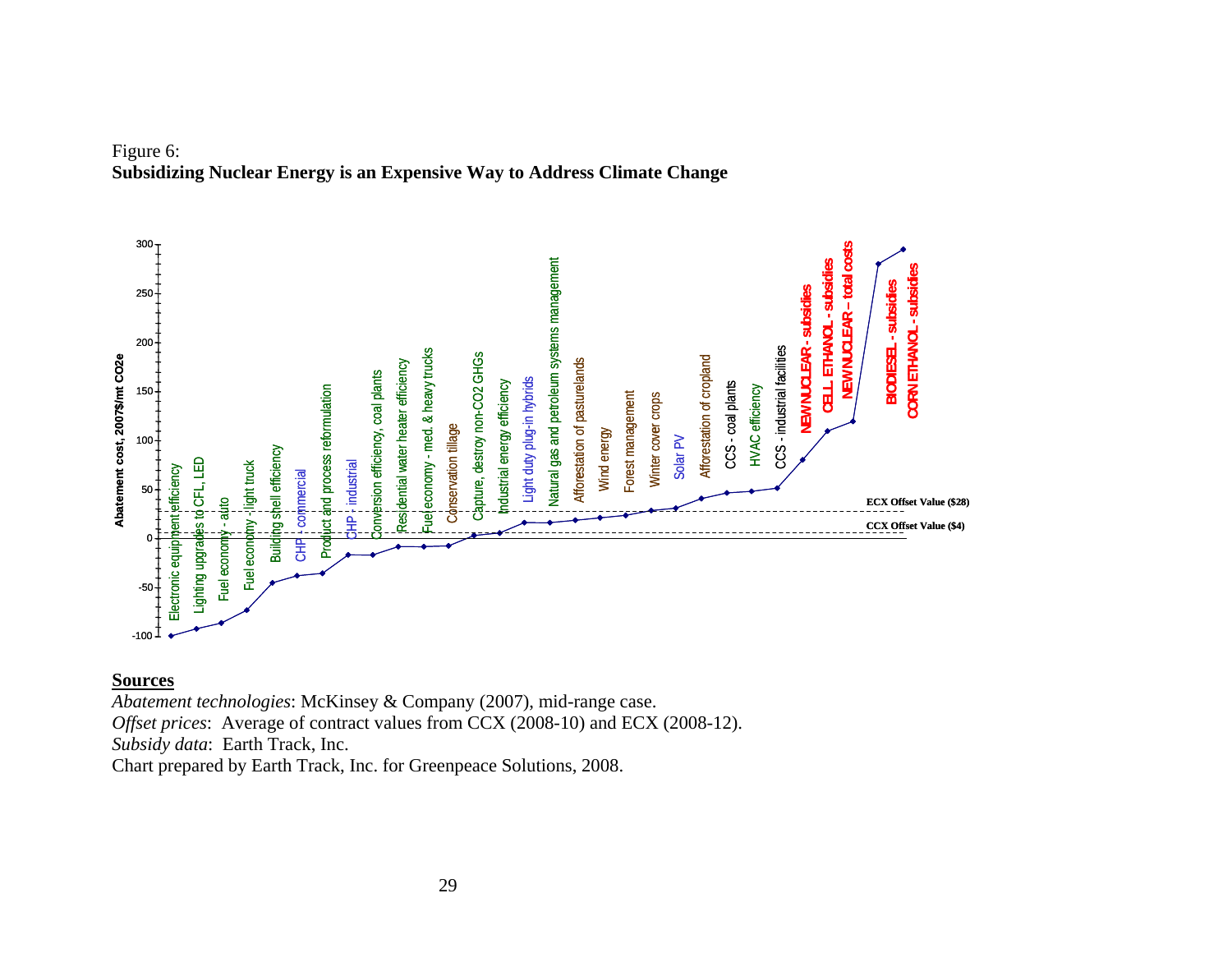

# Figure 6: **Subsidizing Nuclear Energy is an Expensive Way to Address Climate Change**

#### **Sources**

*Abatement technologies*: McKinsey & Company (2007), mid-range case. *Offset prices*: Average of contract values from CCX (2008-10) and ECX (2008-12). *Subsidy data*: Earth Track, Inc. Chart prepared by Earth Track, Inc. for Greenpeace Solutions, 2008.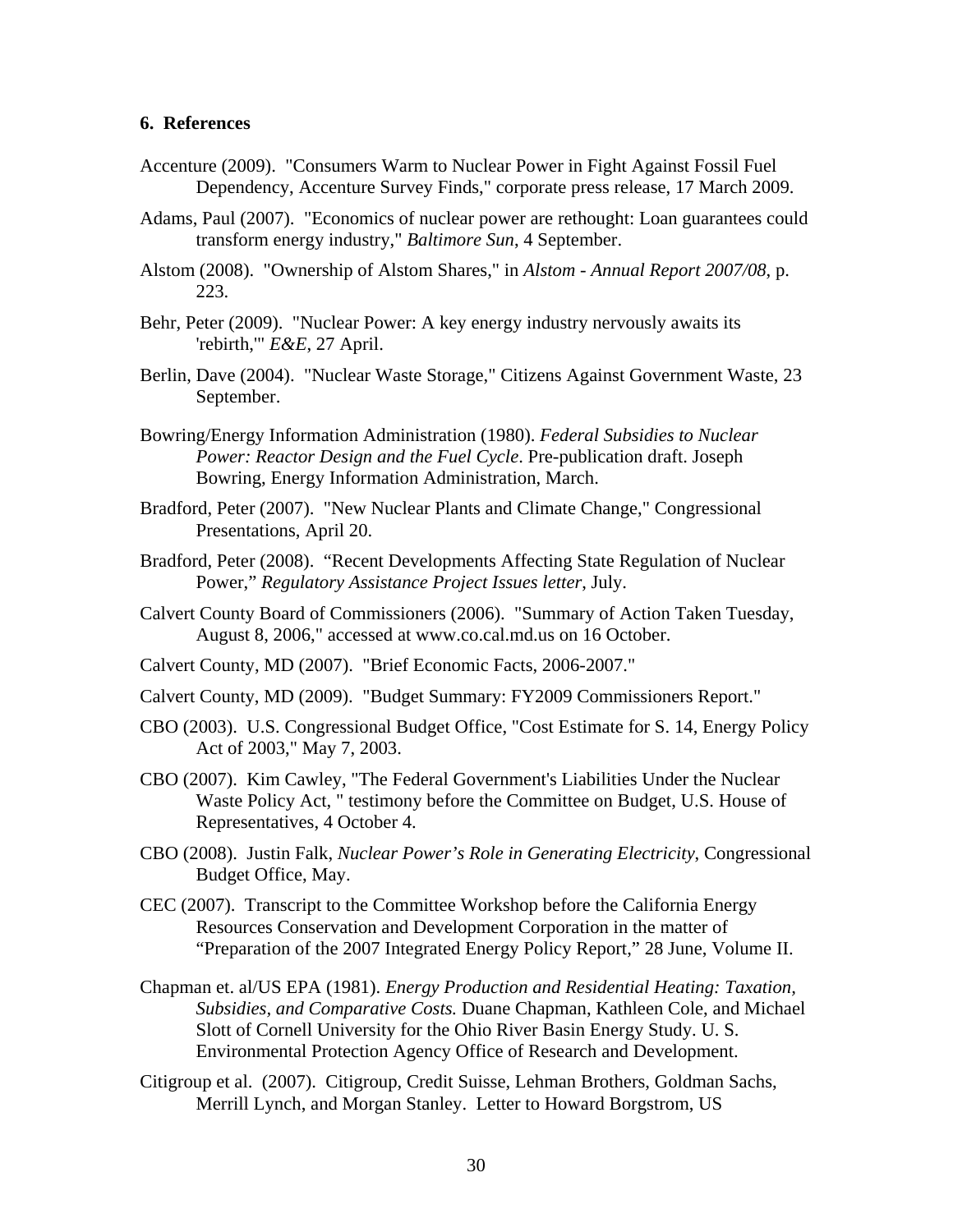#### **6. References**

- Accenture (2009). "Consumers Warm to Nuclear Power in Fight Against Fossil Fuel Dependency, Accenture Survey Finds," corporate press release, 17 March 2009.
- Adams, Paul (2007). "Economics of nuclear power are rethought: Loan guarantees could transform energy industry," *Baltimore Sun*, 4 September.
- Alstom (2008). "Ownership of Alstom Shares," in *Alstom Annual Report 2007/08*, p. 223.
- Behr, Peter (2009). "Nuclear Power: A key energy industry nervously awaits its 'rebirth,'" *E&E*, 27 April.
- Berlin, Dave (2004). "Nuclear Waste Storage," Citizens Against Government Waste, 23 September.
- Bowring/Energy Information Administration (1980). *Federal Subsidies to Nuclear Power: Reactor Design and the Fuel Cycle*. Pre-publication draft. Joseph Bowring, Energy Information Administration, March.
- Bradford, Peter (2007). "New Nuclear Plants and Climate Change," Congressional Presentations, April 20.
- Bradford, Peter (2008). "Recent Developments Affecting State Regulation of Nuclear Power," *Regulatory Assistance Project Issues letter*, July.
- Calvert County Board of Commissioners (2006). "Summary of Action Taken Tuesday, August 8, 2006," accessed at www.co.cal.md.us on 16 October.
- Calvert County, MD (2007). "Brief Economic Facts, 2006-2007."
- Calvert County, MD (2009). "Budget Summary: FY2009 Commissioners Report."
- CBO (2003). U.S. Congressional Budget Office, "Cost Estimate for S. 14, Energy Policy Act of 2003," May 7, 2003.
- CBO (2007). Kim Cawley, "The Federal Government's Liabilities Under the Nuclear Waste Policy Act, " testimony before the Committee on Budget, U.S. House of Representatives, 4 October 4.
- CBO (2008). Justin Falk, *Nuclear Power's Role in Generating Electricity*, Congressional Budget Office, May.
- CEC (2007). Transcript to the Committee Workshop before the California Energy Resources Conservation and Development Corporation in the matter of "Preparation of the 2007 Integrated Energy Policy Report," 28 June, Volume II.
- Chapman et. al/US EPA (1981). *Energy Production and Residential Heating: Taxation, Subsidies, and Comparative Costs.* Duane Chapman, Kathleen Cole, and Michael Slott of Cornell University for the Ohio River Basin Energy Study. U. S. Environmental Protection Agency Office of Research and Development.
- Citigroup et al. (2007). Citigroup, Credit Suisse, Lehman Brothers, Goldman Sachs, Merrill Lynch, and Morgan Stanley. Letter to Howard Borgstrom, US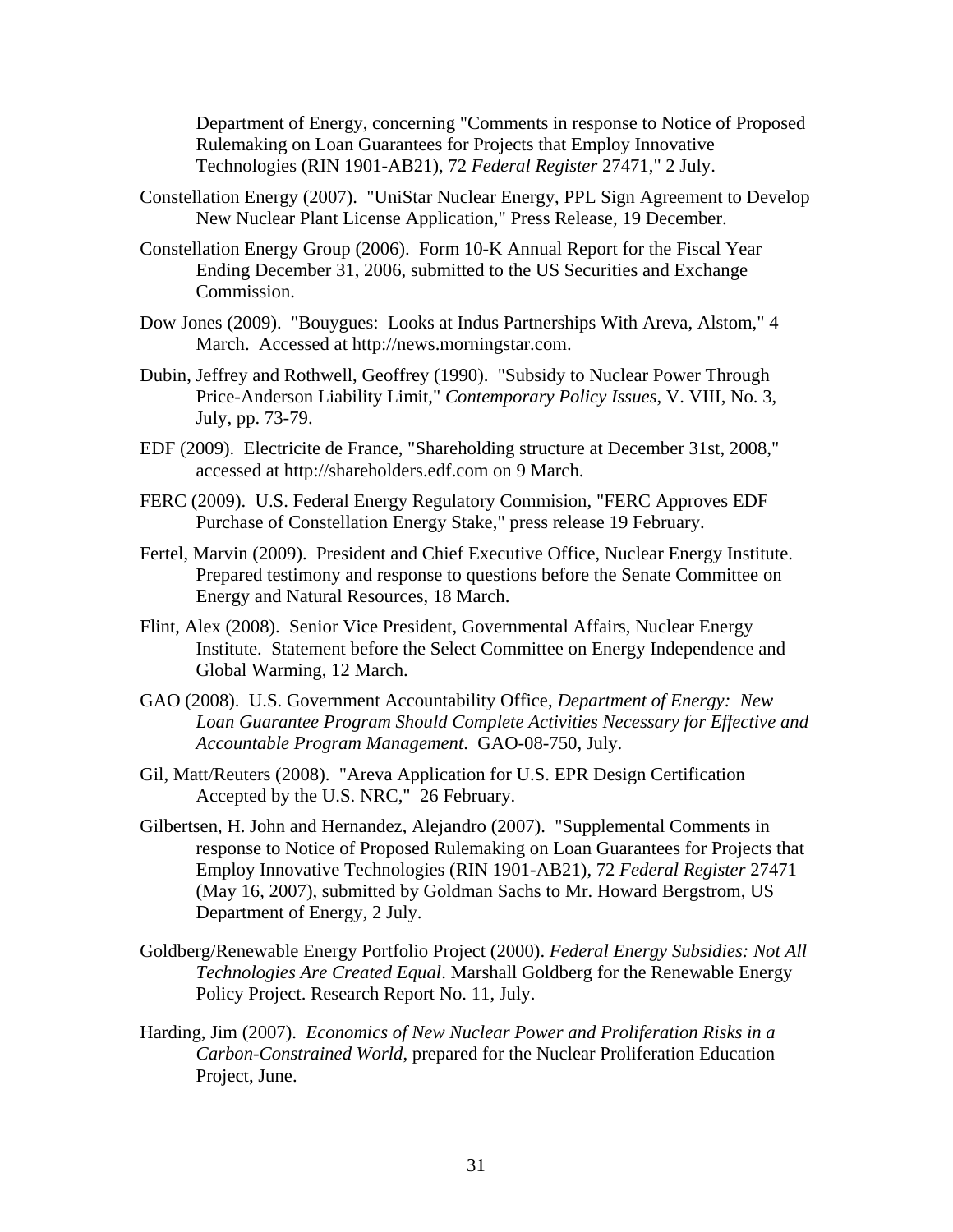Department of Energy, concerning "Comments in response to Notice of Proposed Rulemaking on Loan Guarantees for Projects that Employ Innovative Technologies (RIN 1901-AB21), 72 *Federal Register* 27471," 2 July.

- Constellation Energy (2007). "UniStar Nuclear Energy, PPL Sign Agreement to Develop New Nuclear Plant License Application," Press Release, 19 December.
- Constellation Energy Group (2006). Form 10-K Annual Report for the Fiscal Year Ending December 31, 2006, submitted to the US Securities and Exchange Commission.
- Dow Jones (2009). "Bouygues: Looks at Indus Partnerships With Areva, Alstom," 4 March. Accessed at http://news.morningstar.com.
- Dubin, Jeffrey and Rothwell, Geoffrey (1990). "Subsidy to Nuclear Power Through Price-Anderson Liability Limit," *Contemporary Policy Issues*, V. VIII, No. 3, July, pp. 73-79.
- EDF (2009). Electricite de France, "Shareholding structure at December 31st, 2008," accessed at http://shareholders.edf.com on 9 March.
- FERC (2009). U.S. Federal Energy Regulatory Commision, "FERC Approves EDF Purchase of Constellation Energy Stake," press release 19 February.
- Fertel, Marvin (2009). President and Chief Executive Office, Nuclear Energy Institute. Prepared testimony and response to questions before the Senate Committee on Energy and Natural Resources, 18 March.
- Flint, Alex (2008). Senior Vice President, Governmental Affairs, Nuclear Energy Institute. Statement before the Select Committee on Energy Independence and Global Warming, 12 March.
- GAO (2008). U.S. Government Accountability Office, *Department of Energy: New Loan Guarantee Program Should Complete Activities Necessary for Effective and Accountable Program Management*. GAO-08-750, July.
- Gil, Matt/Reuters (2008). "Areva Application for U.S. EPR Design Certification Accepted by the U.S. NRC," 26 February.
- Gilbertsen, H. John and Hernandez, Alejandro (2007). "Supplemental Comments in response to Notice of Proposed Rulemaking on Loan Guarantees for Projects that Employ Innovative Technologies (RIN 1901-AB21), 72 *Federal Register* 27471 (May 16, 2007), submitted by Goldman Sachs to Mr. Howard Bergstrom, US Department of Energy, 2 July.
- Goldberg/Renewable Energy Portfolio Project (2000). *Federal Energy Subsidies: Not All Technologies Are Created Equal*. Marshall Goldberg for the Renewable Energy Policy Project. Research Report No. 11, July.
- Harding, Jim (2007). *Economics of New Nuclear Power and Proliferation Risks in a Carbon-Constrained World*, prepared for the Nuclear Proliferation Education Project, June.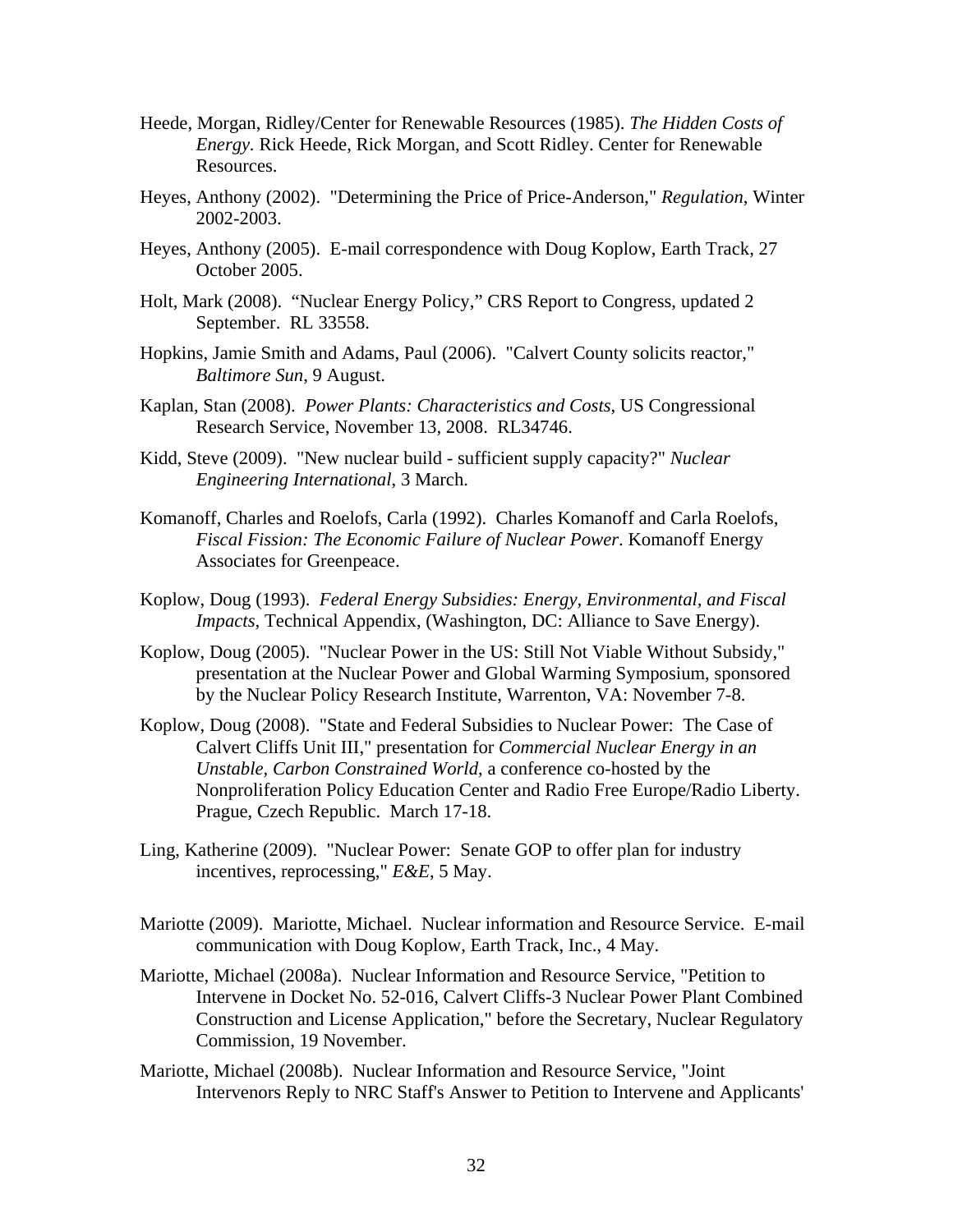- Heede, Morgan, Ridley/Center for Renewable Resources (1985). *The Hidden Costs of Energy.* Rick Heede, Rick Morgan, and Scott Ridley. Center for Renewable Resources.
- Heyes, Anthony (2002). "Determining the Price of Price-Anderson," *Regulation*, Winter 2002-2003.
- Heyes, Anthony (2005). E-mail correspondence with Doug Koplow, Earth Track, 27 October 2005.
- Holt, Mark (2008). "Nuclear Energy Policy," CRS Report to Congress, updated 2 September. RL 33558.
- Hopkins, Jamie Smith and Adams, Paul (2006). "Calvert County solicits reactor," *Baltimore Sun*, 9 August.
- Kaplan, Stan (2008). *Power Plants: Characteristics and Costs*, US Congressional Research Service, November 13, 2008. RL34746.
- Kidd, Steve (2009). "New nuclear build sufficient supply capacity?" *Nuclear Engineering International*, 3 March.
- Komanoff, Charles and Roelofs, Carla (1992). Charles Komanoff and Carla Roelofs, *Fiscal Fission: The Economic Failure of Nuclear Power*. Komanoff Energy Associates for Greenpeace.
- Koplow, Doug (1993). *Federal Energy Subsidies: Energy, Environmental, and Fiscal Impacts*, Technical Appendix, (Washington, DC: Alliance to Save Energy).
- Koplow, Doug (2005). "Nuclear Power in the US: Still Not Viable Without Subsidy," presentation at the Nuclear Power and Global Warming Symposium, sponsored by the Nuclear Policy Research Institute, Warrenton, VA: November 7-8.
- Koplow, Doug (2008). "State and Federal Subsidies to Nuclear Power: The Case of Calvert Cliffs Unit III," presentation for *Commercial Nuclear Energy in an Unstable, Carbon Constrained World*, a conference co-hosted by the Nonproliferation Policy Education Center and Radio Free Europe/Radio Liberty. Prague, Czech Republic. March 17-18.
- Ling, Katherine (2009). "Nuclear Power: Senate GOP to offer plan for industry incentives, reprocessing," *E&E*, 5 May.
- Mariotte (2009). Mariotte, Michael. Nuclear information and Resource Service. E-mail communication with Doug Koplow, Earth Track, Inc., 4 May.
- Mariotte, Michael (2008a). Nuclear Information and Resource Service, "Petition to Intervene in Docket No. 52-016, Calvert Cliffs-3 Nuclear Power Plant Combined Construction and License Application," before the Secretary, Nuclear Regulatory Commission, 19 November.
- Mariotte, Michael (2008b). Nuclear Information and Resource Service, "Joint Intervenors Reply to NRC Staff's Answer to Petition to Intervene and Applicants'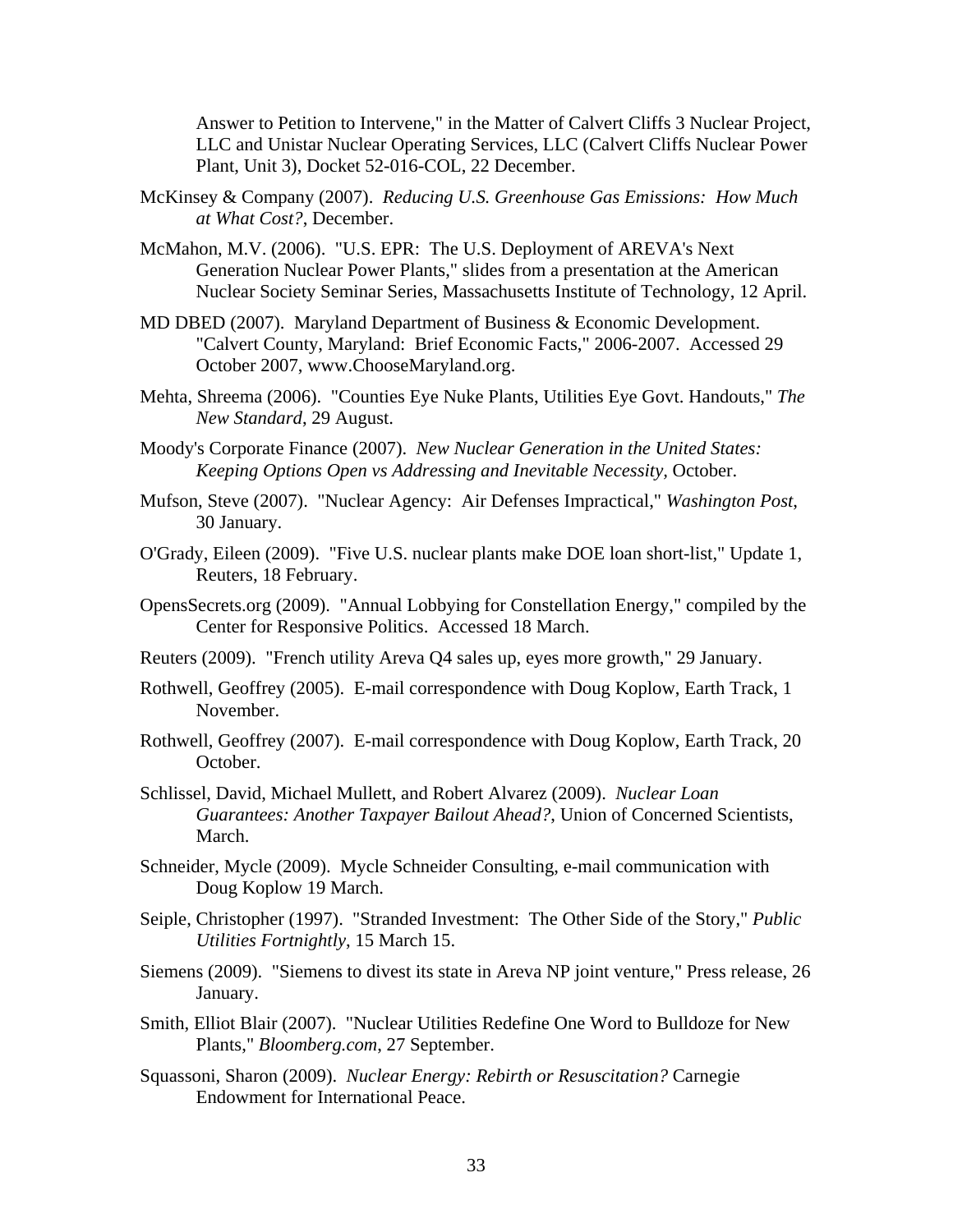Answer to Petition to Intervene," in the Matter of Calvert Cliffs 3 Nuclear Project, LLC and Unistar Nuclear Operating Services, LLC (Calvert Cliffs Nuclear Power Plant, Unit 3), Docket 52-016-COL, 22 December.

- McKinsey & Company (2007). *Reducing U.S. Greenhouse Gas Emissions: How Much at What Cost?*, December.
- McMahon, M.V. (2006). "U.S. EPR: The U.S. Deployment of AREVA's Next Generation Nuclear Power Plants," slides from a presentation at the American Nuclear Society Seminar Series, Massachusetts Institute of Technology, 12 April.
- MD DBED (2007). Maryland Department of Business & Economic Development. "Calvert County, Maryland: Brief Economic Facts," 2006-2007. Accessed 29 October 2007, www.ChooseMaryland.org.
- Mehta, Shreema (2006). "Counties Eye Nuke Plants, Utilities Eye Govt. Handouts," *The New Standard*, 29 August.
- Moody's Corporate Finance (2007). *New Nuclear Generation in the United States: Keeping Options Open vs Addressing and Inevitable Necessity,* October.
- Mufson, Steve (2007). "Nuclear Agency: Air Defenses Impractical," *Washington Post*, 30 January.
- O'Grady, Eileen (2009). "Five U.S. nuclear plants make DOE loan short-list," Update 1, Reuters, 18 February.
- OpensSecrets.org (2009). "Annual Lobbying for Constellation Energy," compiled by the Center for Responsive Politics. Accessed 18 March.
- Reuters (2009). "French utility Areva Q4 sales up, eyes more growth," 29 January.
- Rothwell, Geoffrey (2005). E-mail correspondence with Doug Koplow, Earth Track, 1 November.
- Rothwell, Geoffrey (2007). E-mail correspondence with Doug Koplow, Earth Track, 20 October.
- Schlissel, David, Michael Mullett, and Robert Alvarez (2009). *Nuclear Loan Guarantees: Another Taxpayer Bailout Ahead?*, Union of Concerned Scientists, March.
- Schneider, Mycle (2009). Mycle Schneider Consulting, e-mail communication with Doug Koplow 19 March.
- Seiple, Christopher (1997). "Stranded Investment: The Other Side of the Story," *Public Utilities Fortnightly*, 15 March 15.
- Siemens (2009). "Siemens to divest its state in Areva NP joint venture," Press release, 26 January.
- Smith, Elliot Blair (2007). "Nuclear Utilities Redefine One Word to Bulldoze for New Plants," *Bloomberg.com*, 27 September.
- Squassoni, Sharon (2009). *Nuclear Energy: Rebirth or Resuscitation?* Carnegie Endowment for International Peace.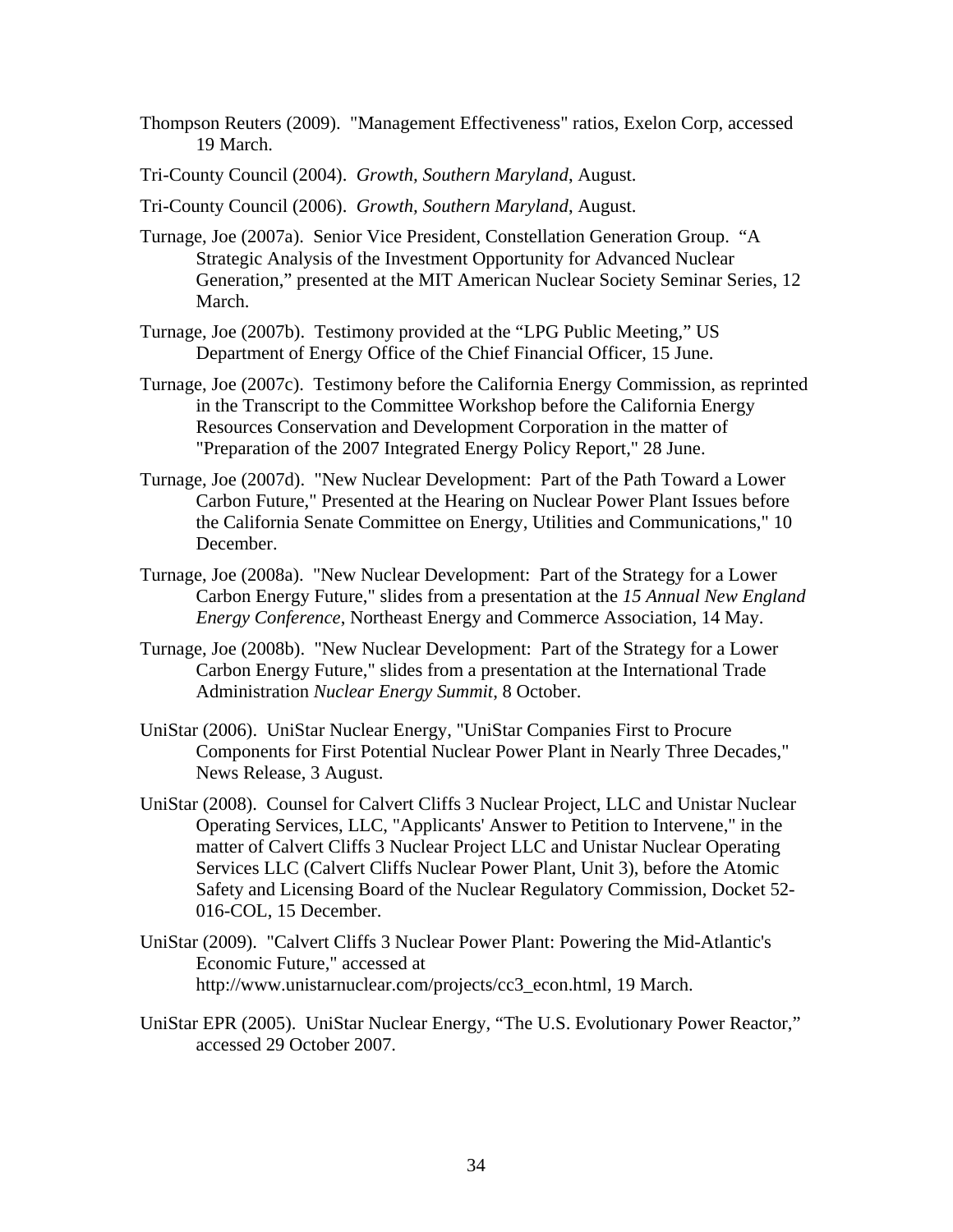- Thompson Reuters (2009). "Management Effectiveness" ratios, Exelon Corp, accessed 19 March.
- Tri-County Council (2004). *Growth, Southern Maryland*, August.

Tri-County Council (2006). *Growth, Southern Maryland*, August.

- Turnage, Joe (2007a). Senior Vice President, Constellation Generation Group. "A Strategic Analysis of the Investment Opportunity for Advanced Nuclear Generation," presented at the MIT American Nuclear Society Seminar Series, 12 March.
- Turnage, Joe (2007b). Testimony provided at the "LPG Public Meeting," US Department of Energy Office of the Chief Financial Officer, 15 June.
- Turnage, Joe (2007c). Testimony before the California Energy Commission, as reprinted in the Transcript to the Committee Workshop before the California Energy Resources Conservation and Development Corporation in the matter of "Preparation of the 2007 Integrated Energy Policy Report," 28 June.
- Turnage, Joe (2007d). "New Nuclear Development: Part of the Path Toward a Lower Carbon Future," Presented at the Hearing on Nuclear Power Plant Issues before the California Senate Committee on Energy, Utilities and Communications," 10 December.
- Turnage, Joe (2008a). "New Nuclear Development: Part of the Strategy for a Lower Carbon Energy Future," slides from a presentation at the *15 Annual New England Energy Conference*, Northeast Energy and Commerce Association, 14 May.
- Turnage, Joe (2008b). "New Nuclear Development: Part of the Strategy for a Lower Carbon Energy Future," slides from a presentation at the International Trade Administration *Nuclear Energy Summit*, 8 October.
- UniStar (2006). UniStar Nuclear Energy, "UniStar Companies First to Procure Components for First Potential Nuclear Power Plant in Nearly Three Decades," News Release, 3 August.
- UniStar (2008). Counsel for Calvert Cliffs 3 Nuclear Project, LLC and Unistar Nuclear Operating Services, LLC, "Applicants' Answer to Petition to Intervene," in the matter of Calvert Cliffs 3 Nuclear Project LLC and Unistar Nuclear Operating Services LLC (Calvert Cliffs Nuclear Power Plant, Unit 3), before the Atomic Safety and Licensing Board of the Nuclear Regulatory Commission, Docket 52- 016-COL, 15 December.
- UniStar (2009). "Calvert Cliffs 3 Nuclear Power Plant: Powering the Mid-Atlantic's Economic Future," accessed at http://www.unistarnuclear.com/projects/cc3\_econ.html, 19 March.
- UniStar EPR (2005). UniStar Nuclear Energy, "The U.S. Evolutionary Power Reactor," accessed 29 October 2007.